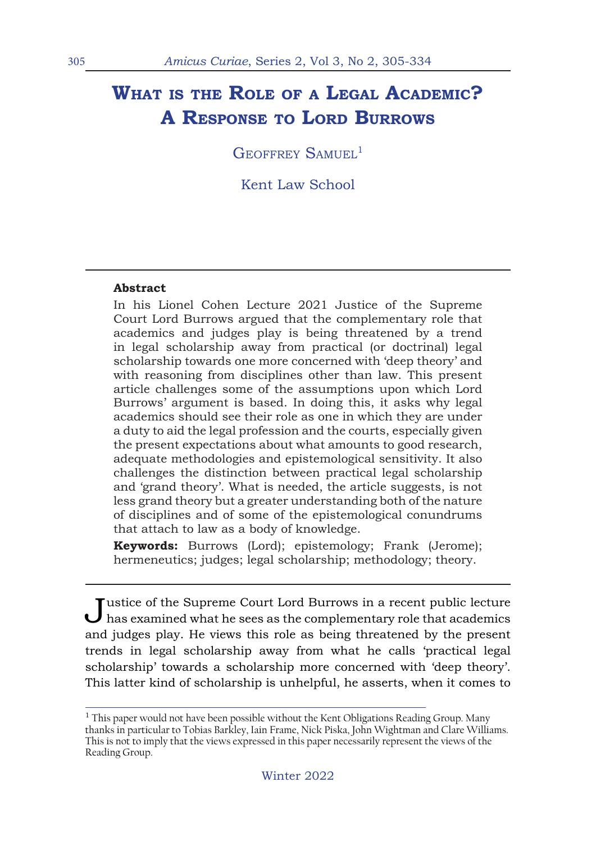# **What is the Role of <sup>a</sup> Legal Academic? A Response to Lord Burrows**

GEOFFREY SAMUEL<sup>1</sup>

Kent Law School

#### **Abstract**

In his Lionel Cohen Lecture 2021 Justice of the Supreme Court Lord Burrows argued that the complementary role that academics and judges play is being threatened by a trend in legal scholarship away from practical (or doctrinal) legal scholarship towards one more concerned with 'deep theory' and with reasoning from disciplines other than law. This present article challenges some of the assumptions upon which Lord Burrows' argument is based. In doing this, it asks why legal academics should see their role as one in which they are under a duty to aid the legal profession and the courts, especially given the present expectations about what amounts to good research, adequate methodologies and epistemological sensitivity. It also challenges the distinction between practical legal scholarship and 'grand theory'. What is needed, the article suggests, is not less grand theory but a greater understanding both of the nature of disciplines and of some of the epistemological conundrums that attach to law as a body of knowledge.

**Keywords:** Burrows (Lord); epistemology; Frank (Jerome); hermeneutics; judges; legal scholarship; methodology; theory.

Justice of the Supreme Court Lord Burrows in a recent public lecture has examined what he sees as the complementary role that academics and judges play. He views this role as being threatened by the present trends in legal scholarship away from what he calls 'practical legal scholarship' towards a scholarship more concerned with 'deep theory'. This latter kind of scholarship is unhelpful, he asserts, when it comes to

 $1$  This paper would not have been possible without the Kent Obligations Reading Group. Many thanks in particular to Tobias Barkley, Iain Frame, Nick Piska, John Wightman and Clare Williams. This is not to imply that the views expressed in this paper necessarily represent the views of the Reading Group.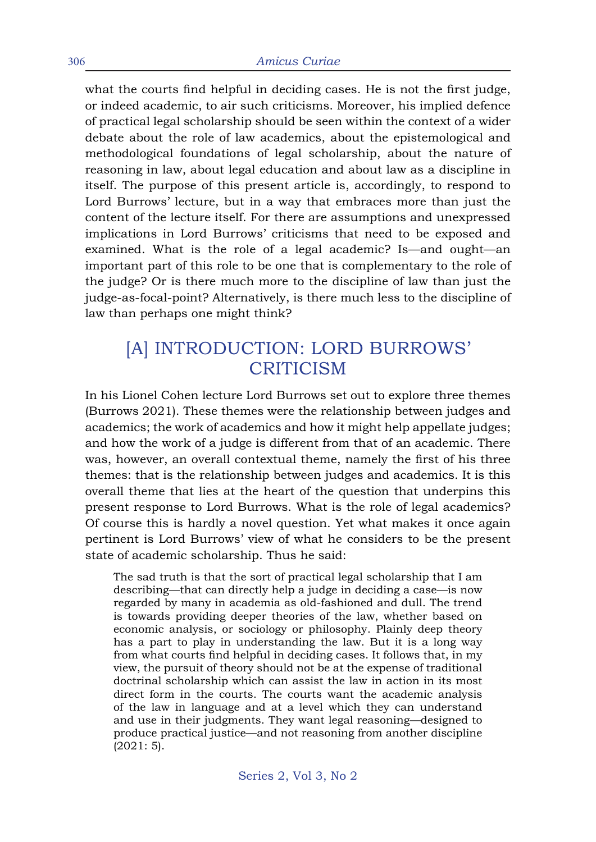what the courts find helpful in deciding cases. He is not the first judge, or indeed academic, to air such criticisms. Moreover, his implied defence of practical legal scholarship should be seen within the context of a wider debate about the role of law academics, about the epistemological and methodological foundations of legal scholarship, about the nature of reasoning in law, about legal education and about law as a discipline in itself. The purpose of this present article is, accordingly, to respond to Lord Burrows' lecture, but in a way that embraces more than just the content of the lecture itself. For there are assumptions and unexpressed implications in Lord Burrows' criticisms that need to be exposed and examined. What is the role of a legal academic? Is—and ought—an important part of this role to be one that is complementary to the role of the judge? Or is there much more to the discipline of law than just the judge-as-focal-point? Alternatively, is there much less to the discipline of law than perhaps one might think?

## [A] INTRODUCTION: LORD BURROWS' **CRITICISM**

In his Lionel Cohen lecture Lord Burrows set out to explore three themes (Burrows 2021). These themes were the relationship between judges and academics; the work of academics and how it might help appellate judges; and how the work of a judge is different from that of an academic. There was, however, an overall contextual theme, namely the first of his three themes: that is the relationship between judges and academics. It is this overall theme that lies at the heart of the question that underpins this present response to Lord Burrows. What is the role of legal academics? Of course this is hardly a novel question. Yet what makes it once again pertinent is Lord Burrows' view of what he considers to be the present state of academic scholarship. Thus he said:

The sad truth is that the sort of practical legal scholarship that I am describing—that can directly help a judge in deciding a case—is now regarded by many in academia as old-fashioned and dull. The trend is towards providing deeper theories of the law, whether based on economic analysis, or sociology or philosophy. Plainly deep theory has a part to play in understanding the law. But it is a long way from what courts find helpful in deciding cases. It follows that, in my view, the pursuit of theory should not be at the expense of traditional doctrinal scholarship which can assist the law in action in its most direct form in the courts. The courts want the academic analysis of the law in language and at a level which they can understand and use in their judgments. They want legal reasoning—designed to produce practical justice—and not reasoning from another discipline (2021: 5).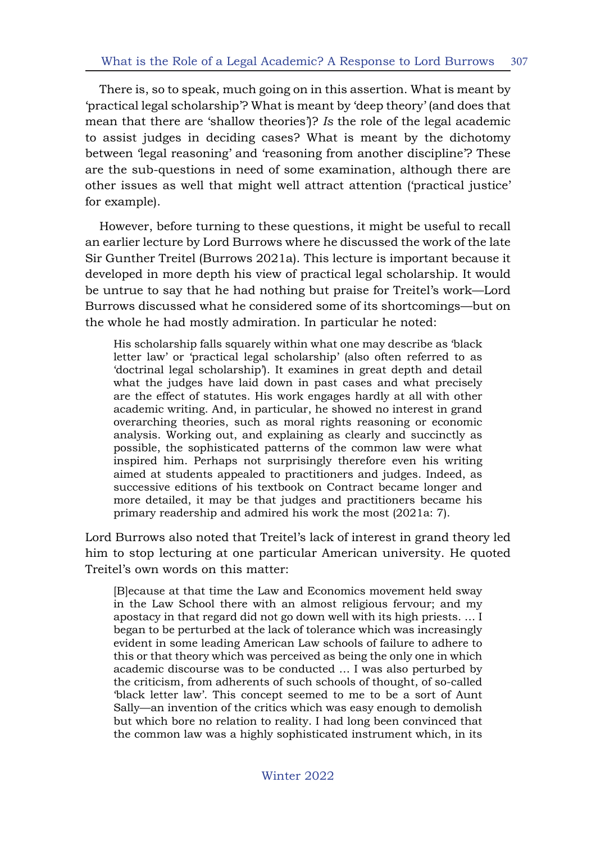There is, so to speak, much going on in this assertion. What is meant by 'practical legal scholarship'? What is meant by 'deep theory' (and does that mean that there are 'shallow theories')? *Is* the role of the legal academic to assist judges in deciding cases? What is meant by the dichotomy between 'legal reasoning' and 'reasoning from another discipline'? These are the sub-questions in need of some examination, although there are other issues as well that might well attract attention ('practical justice' for example).

However, before turning to these questions, it might be useful to recall an earlier lecture by Lord Burrows where he discussed the work of the late Sir Gunther Treitel (Burrows 2021a). This lecture is important because it developed in more depth his view of practical legal scholarship. It would be untrue to say that he had nothing but praise for Treitel's work—Lord Burrows discussed what he considered some of its shortcomings—but on the whole he had mostly admiration. In particular he noted:

His scholarship falls squarely within what one may describe as 'black letter law' or 'practical legal scholarship' (also often referred to as 'doctrinal legal scholarship'). It examines in great depth and detail what the judges have laid down in past cases and what precisely are the effect of statutes. His work engages hardly at all with other academic writing. And, in particular, he showed no interest in grand overarching theories, such as moral rights reasoning or economic analysis. Working out, and explaining as clearly and succinctly as possible, the sophisticated patterns of the common law were what inspired him. Perhaps not surprisingly therefore even his writing aimed at students appealed to practitioners and judges. Indeed, as successive editions of his textbook on Contract became longer and more detailed, it may be that judges and practitioners became his primary readership and admired his work the most (2021a: 7).

Lord Burrows also noted that Treitel's lack of interest in grand theory led him to stop lecturing at one particular American university. He quoted Treitel's own words on this matter:

[B]ecause at that time the Law and Economics movement held sway in the Law School there with an almost religious fervour; and my apostacy in that regard did not go down well with its high priests. … I began to be perturbed at the lack of tolerance which was increasingly evident in some leading American Law schools of failure to adhere to this or that theory which was perceived as being the only one in which academic discourse was to be conducted … I was also perturbed by the criticism, from adherents of such schools of thought, of so-called 'black letter law'. This concept seemed to me to be a sort of Aunt Sally—an invention of the critics which was easy enough to demolish but which bore no relation to reality. I had long been convinced that the common law was a highly sophisticated instrument which, in its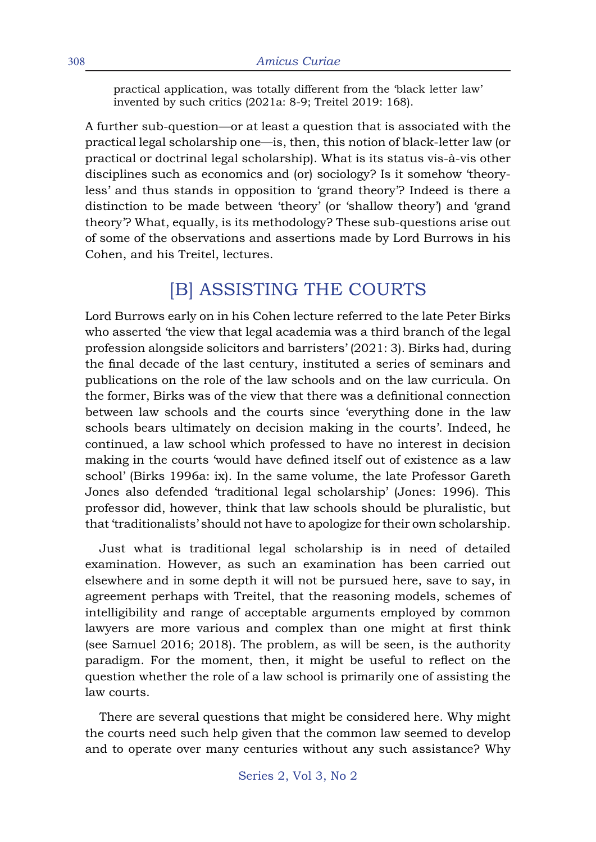practical application, was totally different from the 'black letter law' invented by such critics (2021a: 8-9; Treitel 2019: 168).

A further sub-question—or at least a question that is associated with the practical legal scholarship one—is, then, this notion of black-letter law (or practical or doctrinal legal scholarship). What is its status vis-à-vis other disciplines such as economics and (or) sociology? Is it somehow 'theoryless' and thus stands in opposition to 'grand theory'? Indeed is there a distinction to be made between 'theory' (or 'shallow theory') and 'grand theory'? What, equally, is its methodology? These sub-questions arise out of some of the observations and assertions made by Lord Burrows in his Cohen, and his Treitel, lectures.

## [B] ASSISTING THE COURTS

Lord Burrows early on in his Cohen lecture referred to the late Peter Birks who asserted 'the view that legal academia was a third branch of the legal profession alongside solicitors and barristers' (2021: 3). Birks had, during the final decade of the last century, instituted a series of seminars and publications on the role of the law schools and on the law curricula. On the former, Birks was of the view that there was a definitional connection between law schools and the courts since 'everything done in the law schools bears ultimately on decision making in the courts'. Indeed, he continued, a law school which professed to have no interest in decision making in the courts 'would have defined itself out of existence as a law school' (Birks 1996a: ix). In the same volume, the late Professor Gareth Jones also defended 'traditional legal scholarship' (Jones: 1996). This professor did, however, think that law schools should be pluralistic, but that 'traditionalists' should not have to apologize for their own scholarship.

Just what is traditional legal scholarship is in need of detailed examination. However, as such an examination has been carried out elsewhere and in some depth it will not be pursued here, save to say, in agreement perhaps with Treitel, that the reasoning models, schemes of intelligibility and range of acceptable arguments employed by common lawyers are more various and complex than one might at first think (see Samuel 2016; 2018). The problem, as will be seen, is the authority paradigm. For the moment, then, it might be useful to reflect on the question whether the role of a law school is primarily one of assisting the law courts.

There are several questions that might be considered here. Why might the courts need such help given that the common law seemed to develop and to operate over many centuries without any such assistance? Why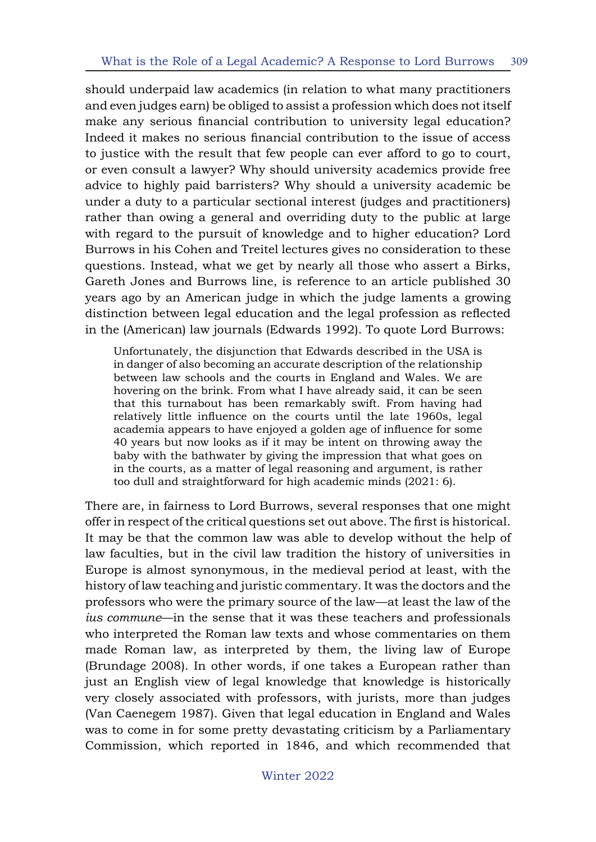should underpaid law academics (in relation to what many practitioners and even judges earn) be obliged to assist a profession which does not itself make any serious financial contribution to university legal education? Indeed it makes no serious financial contribution to the issue of access to justice with the result that few people can ever afford to go to court, or even consult a lawyer? Why should university academics provide free advice to highly paid barristers? Why should a university academic be under a duty to a particular sectional interest (judges and practitioners) rather than owing a general and overriding duty to the public at large with regard to the pursuit of knowledge and to higher education? Lord Burrows in his Cohen and Treitel lectures gives no consideration to these questions. Instead, what we get by nearly all those who assert a Birks, Gareth Jones and Burrows line, is reference to an article published 30 years ago by an American judge in which the judge laments a growing distinction between legal education and the legal profession as reflected in the (American) law journals (Edwards 1992). To quote Lord Burrows:

Unfortunately, the disjunction that Edwards described in the USA is in danger of also becoming an accurate description of the relationship between law schools and the courts in England and Wales. We are hovering on the brink. From what I have already said, it can be seen that this turnabout has been remarkably swift. From having had relatively little influence on the courts until the late 1960s, legal academia appears to have enjoyed a golden age of influence for some 40 years but now looks as if it may be intent on throwing away the baby with the bathwater by giving the impression that what goes on in the courts, as a matter of legal reasoning and argument, is rather too dull and straightforward for high academic minds (2021: 6).

There are, in fairness to Lord Burrows, several responses that one might offer in respect of the critical questions set out above. The first is historical. It may be that the common law was able to develop without the help of law faculties, but in the civil law tradition the history of universities in Europe is almost synonymous, in the medieval period at least, with the history of law teaching and juristic commentary. It was the doctors and the professors who were the primary source of the law—at least the law of the *ius commune*—in the sense that it was these teachers and professionals who interpreted the Roman law texts and whose commentaries on them made Roman law, as interpreted by them, the living law of Europe (Brundage 2008). In other words, if one takes a European rather than just an English view of legal knowledge that knowledge is historically very closely associated with professors, with jurists, more than judges (Van Caenegem 1987). Given that legal education in England and Wales was to come in for some pretty devastating criticism by a Parliamentary Commission, which reported in 1846, and which recommended that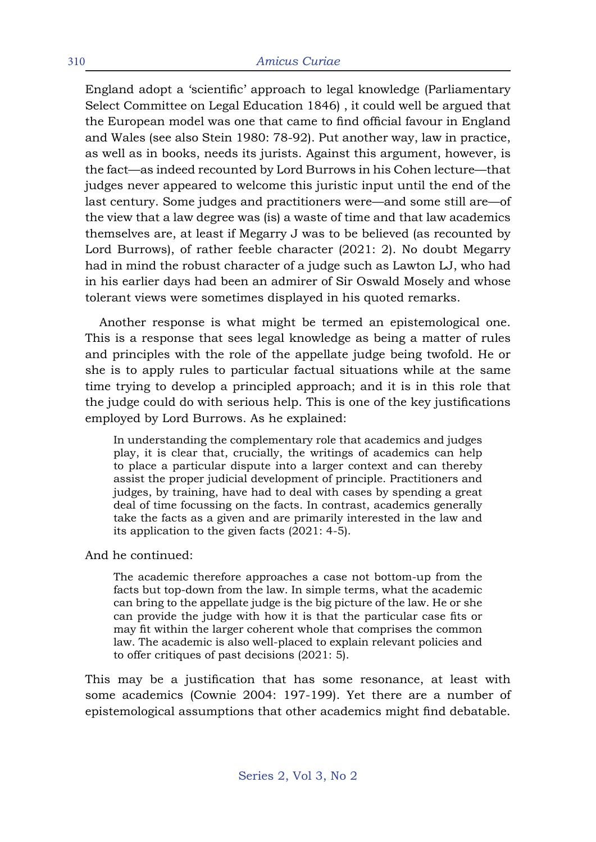England adopt a 'scientific' approach to legal knowledge (Parliamentary Select Committee on Legal Education 1846) , it could well be argued that the European model was one that came to find official favour in England and Wales (see also Stein 1980: 78-92). Put another way, law in practice, as well as in books, needs its jurists. Against this argument, however, is the fact—as indeed recounted by Lord Burrows in his Cohen lecture—that judges never appeared to welcome this juristic input until the end of the last century. Some judges and practitioners were—and some still are—of the view that a law degree was (is) a waste of time and that law academics themselves are, at least if Megarry J was to be believed (as recounted by Lord Burrows), of rather feeble character (2021: 2). No doubt Megarry had in mind the robust character of a judge such as Lawton LJ, who had in his earlier days had been an admirer of Sir Oswald Mosely and whose tolerant views were sometimes displayed in his quoted remarks.

Another response is what might be termed an epistemological one. This is a response that sees legal knowledge as being a matter of rules and principles with the role of the appellate judge being twofold. He or she is to apply rules to particular factual situations while at the same time trying to develop a principled approach; and it is in this role that the judge could do with serious help. This is one of the key justifications employed by Lord Burrows. As he explained:

In understanding the complementary role that academics and judges play, it is clear that, crucially, the writings of academics can help to place a particular dispute into a larger context and can thereby assist the proper judicial development of principle. Practitioners and judges, by training, have had to deal with cases by spending a great deal of time focussing on the facts. In contrast, academics generally take the facts as a given and are primarily interested in the law and its application to the given facts (2021: 4-5).

And he continued:

The academic therefore approaches a case not bottom-up from the facts but top-down from the law. In simple terms, what the academic can bring to the appellate judge is the big picture of the law. He or she can provide the judge with how it is that the particular case fits or may fit within the larger coherent whole that comprises the common law. The academic is also well-placed to explain relevant policies and to offer critiques of past decisions (2021: 5).

This may be a justification that has some resonance, at least with some academics (Cownie 2004: 197-199). Yet there are a number of epistemological assumptions that other academics might find debatable.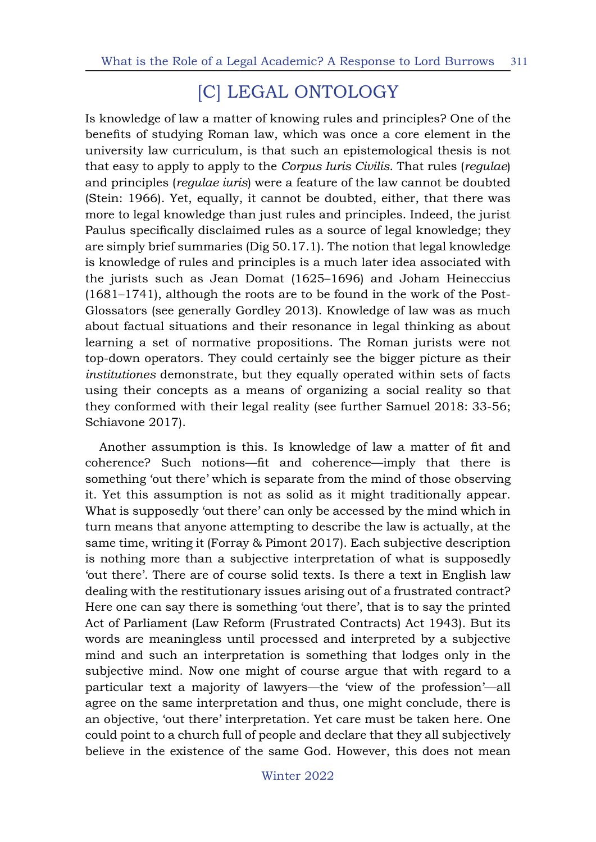# [C] LEGAL ONTOLOGY

Is knowledge of law a matter of knowing rules and principles? One of the benefits of studying Roman law, which was once a core element in the university law curriculum, is that such an epistemological thesis is not that easy to apply to apply to the *Corpus Iuris Civilis*. That rules (*regulae*) and principles (*regulae iuris*) were a feature of the law cannot be doubted (Stein: 1966). Yet, equally, it cannot be doubted, either, that there was more to legal knowledge than just rules and principles. Indeed, the jurist Paulus specifically disclaimed rules as a source of legal knowledge; they are simply brief summaries (Dig 50.17.1). The notion that legal knowledge is knowledge of rules and principles is a much later idea associated with the jurists such as Jean Domat (1625–1696) and Joham Heineccius (1681–1741), although the roots are to be found in the work of the Post-Glossators (see generally Gordley 2013). Knowledge of law was as much about factual situations and their resonance in legal thinking as about learning a set of normative propositions. The Roman jurists were not top-down operators. They could certainly see the bigger picture as their *institutiones* demonstrate, but they equally operated within sets of facts using their concepts as a means of organizing a social reality so that they conformed with their legal reality (see further Samuel 2018: 33-56; Schiavone 2017).

Another assumption is this. Is knowledge of law a matter of fit and coherence? Such notions—fit and coherence—imply that there is something 'out there' which is separate from the mind of those observing it. Yet this assumption is not as solid as it might traditionally appear. What is supposedly 'out there' can only be accessed by the mind which in turn means that anyone attempting to describe the law is actually, at the same time, writing it (Forray & Pimont 2017). Each subjective description is nothing more than a subjective interpretation of what is supposedly 'out there'. There are of course solid texts. Is there a text in English law dealing with the restitutionary issues arising out of a frustrated contract? Here one can say there is something 'out there', that is to say the printed Act of Parliament (Law Reform (Frustrated Contracts) Act 1943). But its words are meaningless until processed and interpreted by a subjective mind and such an interpretation is something that lodges only in the subjective mind. Now one might of course argue that with regard to a particular text a majority of lawyers—the 'view of the profession'—all agree on the same interpretation and thus, one might conclude, there is an objective, 'out there' interpretation. Yet care must be taken here. One could point to a church full of people and declare that they all subjectively believe in the existence of the same God. However, this does not mean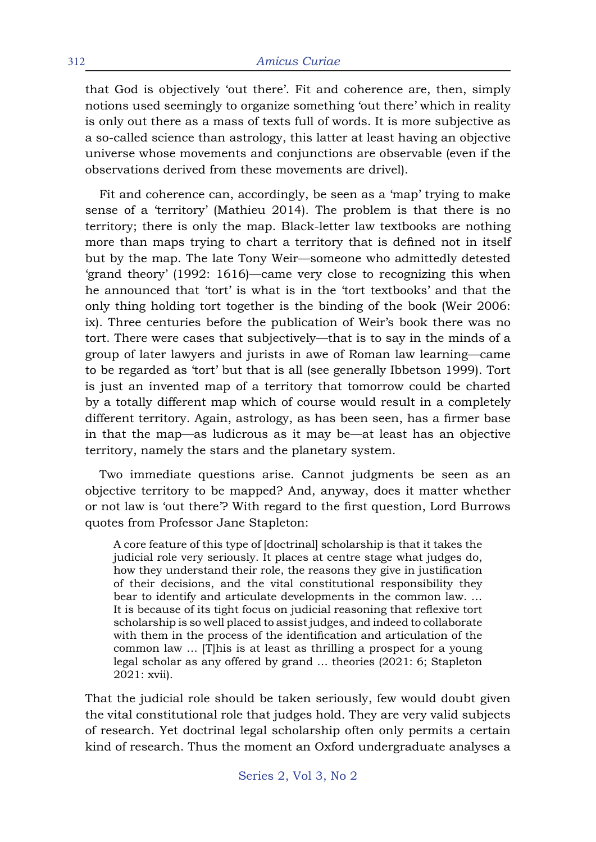that God is objectively 'out there'. Fit and coherence are, then, simply notions used seemingly to organize something 'out there' which in reality is only out there as a mass of texts full of words. It is more subjective as a so-called science than astrology, this latter at least having an objective universe whose movements and conjunctions are observable (even if the observations derived from these movements are drivel).

Fit and coherence can, accordingly, be seen as a 'map' trying to make sense of a 'territory' (Mathieu 2014). The problem is that there is no territory; there is only the map. Black-letter law textbooks are nothing more than maps trying to chart a territory that is defined not in itself but by the map. The late Tony Weir—someone who admittedly detested 'grand theory' (1992: 1616)—came very close to recognizing this when he announced that 'tort' is what is in the 'tort textbooks' and that the only thing holding tort together is the binding of the book (Weir 2006: ix). Three centuries before the publication of Weir's book there was no tort. There were cases that subjectively—that is to say in the minds of a group of later lawyers and jurists in awe of Roman law learning—came to be regarded as 'tort' but that is all (see generally Ibbetson 1999). Tort is just an invented map of a territory that tomorrow could be charted by a totally different map which of course would result in a completely different territory. Again, astrology, as has been seen, has a firmer base in that the map—as ludicrous as it may be—at least has an objective territory, namely the stars and the planetary system.

Two immediate questions arise. Cannot judgments be seen as an objective territory to be mapped? And, anyway, does it matter whether or not law is 'out there'? With regard to the first question, Lord Burrows quotes from Professor Jane Stapleton:

A core feature of this type of [doctrinal] scholarship is that it takes the judicial role very seriously. It places at centre stage what judges do, how they understand their role, the reasons they give in justification of their decisions, and the vital constitutional responsibility they bear to identify and articulate developments in the common law. … It is because of its tight focus on judicial reasoning that reflexive tort scholarship is so well placed to assist judges, and indeed to collaborate with them in the process of the identification and articulation of the common law … [T]his is at least as thrilling a prospect for a young legal scholar as any offered by grand … theories (2021: 6; Stapleton 2021: xvii).

That the judicial role should be taken seriously, few would doubt given the vital constitutional role that judges hold. They are very valid subjects of research. Yet doctrinal legal scholarship often only permits a certain kind of research. Thus the moment an Oxford undergraduate analyses a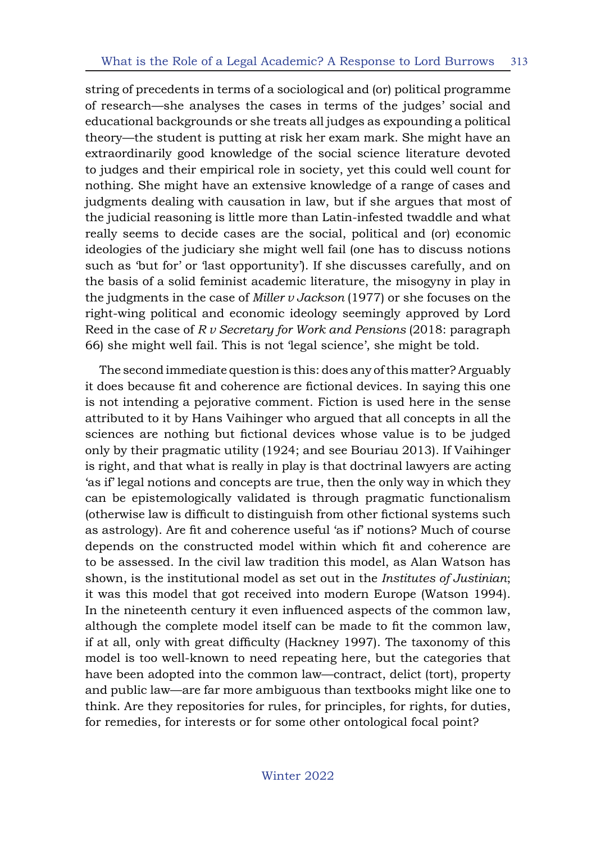string of precedents in terms of a sociological and (or) political programme of research—she analyses the cases in terms of the judges' social and educational backgrounds or she treats all judges as expounding a political theory—the student is putting at risk her exam mark. She might have an extraordinarily good knowledge of the social science literature devoted to judges and their empirical role in society, yet this could well count for nothing. She might have an extensive knowledge of a range of cases and judgments dealing with causation in law, but if she argues that most of the judicial reasoning is little more than Latin-infested twaddle and what really seems to decide cases are the social, political and (or) economic ideologies of the judiciary she might well fail (one has to discuss notions such as 'but for' or 'last opportunity'). If she discusses carefully, and on the basis of a solid feminist academic literature, the misogyny in play in the judgments in the case of *Miller v Jackson* (1977) or she focuses on the right-wing political and economic ideology seemingly approved by Lord Reed in the case of *R v Secretary for Work and Pensions* (2018: paragraph 66) she might well fail. This is not 'legal science', she might be told.

The second immediate question is this: does any of this matter? Arguably it does because fit and coherence are fictional devices. In saying this one is not intending a pejorative comment. Fiction is used here in the sense attributed to it by Hans Vaihinger who argued that all concepts in all the sciences are nothing but fictional devices whose value is to be judged only by their pragmatic utility (1924; and see Bouriau 2013). If Vaihinger is right, and that what is really in play is that doctrinal lawyers are acting 'as if' legal notions and concepts are true, then the only way in which they can be epistemologically validated is through pragmatic functionalism (otherwise law is difficult to distinguish from other fictional systems such as astrology). Are fit and coherence useful 'as if' notions? Much of course depends on the constructed model within which fit and coherence are to be assessed. In the civil law tradition this model, as Alan Watson has shown, is the institutional model as set out in the *Institutes of Justinian*; it was this model that got received into modern Europe (Watson 1994). In the nineteenth century it even influenced aspects of the common law, although the complete model itself can be made to fit the common law, if at all, only with great difficulty (Hackney 1997). The taxonomy of this model is too well-known to need repeating here, but the categories that have been adopted into the common law—contract, delict (tort), property and public law—are far more ambiguous than textbooks might like one to think. Are they repositories for rules, for principles, for rights, for duties, for remedies, for interests or for some other ontological focal point?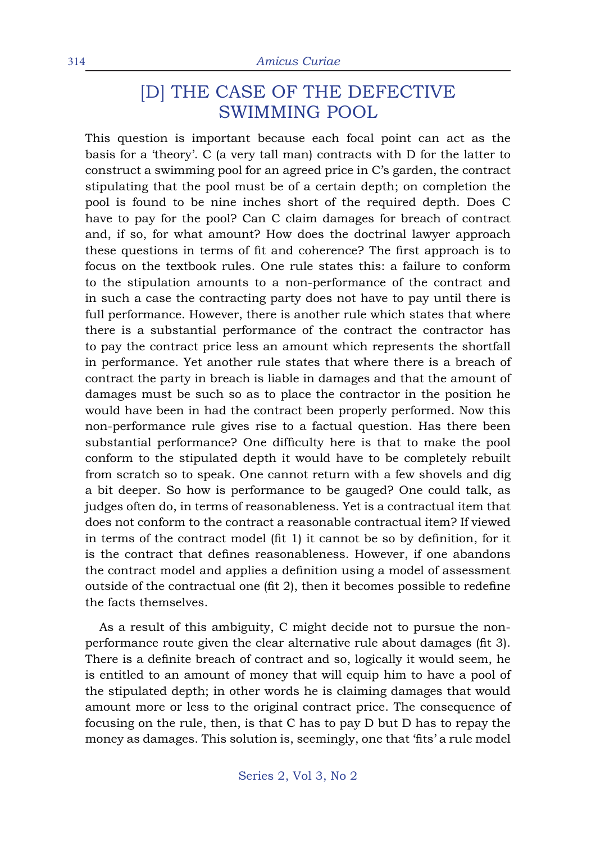## [D] THE CASE OF THE DEFECTIVE SWIMMING POOL

This question is important because each focal point can act as the basis for a 'theory'. C (a very tall man) contracts with D for the latter to construct a swimming pool for an agreed price in C's garden, the contract stipulating that the pool must be of a certain depth; on completion the pool is found to be nine inches short of the required depth. Does C have to pay for the pool? Can C claim damages for breach of contract and, if so, for what amount? How does the doctrinal lawyer approach these questions in terms of fit and coherence? The first approach is to focus on the textbook rules. One rule states this: a failure to conform to the stipulation amounts to a non-performance of the contract and in such a case the contracting party does not have to pay until there is full performance. However, there is another rule which states that where there is a substantial performance of the contract the contractor has to pay the contract price less an amount which represents the shortfall in performance. Yet another rule states that where there is a breach of contract the party in breach is liable in damages and that the amount of damages must be such so as to place the contractor in the position he would have been in had the contract been properly performed. Now this non-performance rule gives rise to a factual question. Has there been substantial performance? One difficulty here is that to make the pool conform to the stipulated depth it would have to be completely rebuilt from scratch so to speak. One cannot return with a few shovels and dig a bit deeper. So how is performance to be gauged? One could talk, as judges often do, in terms of reasonableness. Yet is a contractual item that does not conform to the contract a reasonable contractual item? If viewed in terms of the contract model (fit 1) it cannot be so by definition, for it is the contract that defines reasonableness. However, if one abandons the contract model and applies a definition using a model of assessment outside of the contractual one (fit 2), then it becomes possible to redefine the facts themselves.

As a result of this ambiguity, C might decide not to pursue the nonperformance route given the clear alternative rule about damages (fit 3). There is a definite breach of contract and so, logically it would seem, he is entitled to an amount of money that will equip him to have a pool of the stipulated depth; in other words he is claiming damages that would amount more or less to the original contract price. The consequence of focusing on the rule, then, is that C has to pay D but D has to repay the money as damages. This solution is, seemingly, one that 'fits' a rule model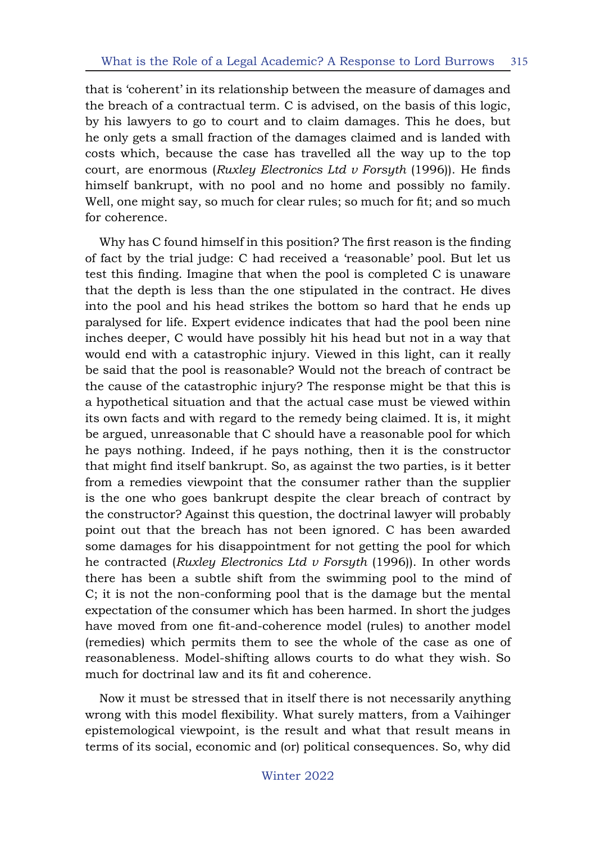that is 'coherent' in its relationship between the measure of damages and the breach of a contractual term. C is advised, on the basis of this logic, by his lawyers to go to court and to claim damages. This he does, but he only gets a small fraction of the damages claimed and is landed with costs which, because the case has travelled all the way up to the top court, are enormous (*Ruxley Electronics Ltd v Forsyth* (1996)). He finds himself bankrupt, with no pool and no home and possibly no family. Well, one might say, so much for clear rules; so much for fit; and so much for coherence.

Why has C found himself in this position? The first reason is the finding of fact by the trial judge: C had received a 'reasonable' pool. But let us test this finding. Imagine that when the pool is completed C is unaware that the depth is less than the one stipulated in the contract. He dives into the pool and his head strikes the bottom so hard that he ends up paralysed for life. Expert evidence indicates that had the pool been nine inches deeper, C would have possibly hit his head but not in a way that would end with a catastrophic injury. Viewed in this light, can it really be said that the pool is reasonable? Would not the breach of contract be the cause of the catastrophic injury? The response might be that this is a hypothetical situation and that the actual case must be viewed within its own facts and with regard to the remedy being claimed. It is, it might be argued, unreasonable that C should have a reasonable pool for which he pays nothing. Indeed, if he pays nothing, then it is the constructor that might find itself bankrupt. So, as against the two parties, is it better from a remedies viewpoint that the consumer rather than the supplier is the one who goes bankrupt despite the clear breach of contract by the constructor? Against this question, the doctrinal lawyer will probably point out that the breach has not been ignored. C has been awarded some damages for his disappointment for not getting the pool for which he contracted (*Ruxley Electronics Ltd v Forsyth* (1996)). In other words there has been a subtle shift from the swimming pool to the mind of C; it is not the non-conforming pool that is the damage but the mental expectation of the consumer which has been harmed. In short the judges have moved from one fit-and-coherence model (rules) to another model (remedies) which permits them to see the whole of the case as one of reasonableness. Model-shifting allows courts to do what they wish. So much for doctrinal law and its fit and coherence.

Now it must be stressed that in itself there is not necessarily anything wrong with this model flexibility. What surely matters, from a Vaihinger epistemological viewpoint, is the result and what that result means in terms of its social, economic and (or) political consequences. So, why did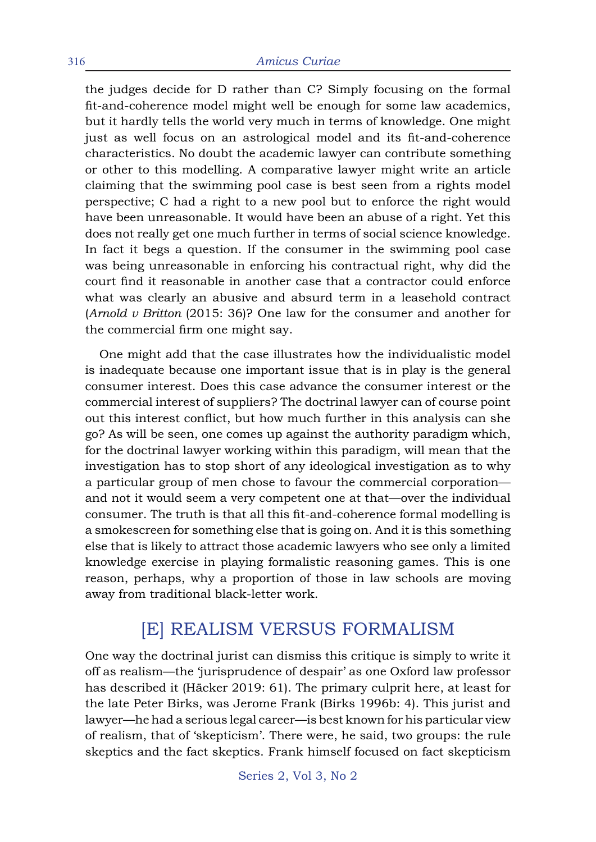the judges decide for D rather than C? Simply focusing on the formal fit-and-coherence model might well be enough for some law academics, but it hardly tells the world very much in terms of knowledge. One might just as well focus on an astrological model and its fit-and-coherence characteristics. No doubt the academic lawyer can contribute something or other to this modelling. A comparative lawyer might write an article claiming that the swimming pool case is best seen from a rights model perspective; C had a right to a new pool but to enforce the right would have been unreasonable. It would have been an abuse of a right. Yet this does not really get one much further in terms of social science knowledge. In fact it begs a question. If the consumer in the swimming pool case was being unreasonable in enforcing his contractual right, why did the court find it reasonable in another case that a contractor could enforce what was clearly an abusive and absurd term in a leasehold contract (*Arnold v Britton* (2015: 36)? One law for the consumer and another for the commercial firm one might say.

One might add that the case illustrates how the individualistic model is inadequate because one important issue that is in play is the general consumer interest. Does this case advance the consumer interest or the commercial interest of suppliers? The doctrinal lawyer can of course point out this interest conflict, but how much further in this analysis can she go? As will be seen, one comes up against the authority paradigm which, for the doctrinal lawyer working within this paradigm, will mean that the investigation has to stop short of any ideological investigation as to why a particular group of men chose to favour the commercial corporation and not it would seem a very competent one at that—over the individual consumer. The truth is that all this fit-and-coherence formal modelling is a smokescreen for something else that is going on. And it is this something else that is likely to attract those academic lawyers who see only a limited knowledge exercise in playing formalistic reasoning games. This is one reason, perhaps, why a proportion of those in law schools are moving away from traditional black-letter work.

## [E] REALISM VERSUS FORMALISM

One way the doctrinal jurist can dismiss this critique is simply to write it off as realism—the 'jurisprudence of despair' as one Oxford law professor has described it (Häcker 2019: 61). The primary culprit here, at least for the late Peter Birks, was Jerome Frank (Birks 1996b: 4). This jurist and lawyer—he had a serious legal career—is best known for his particular view of realism, that of 'skepticism'. There were, he said, two groups: the rule skeptics and the fact skeptics. Frank himself focused on fact skepticism

Series 2, Vol 3, No 2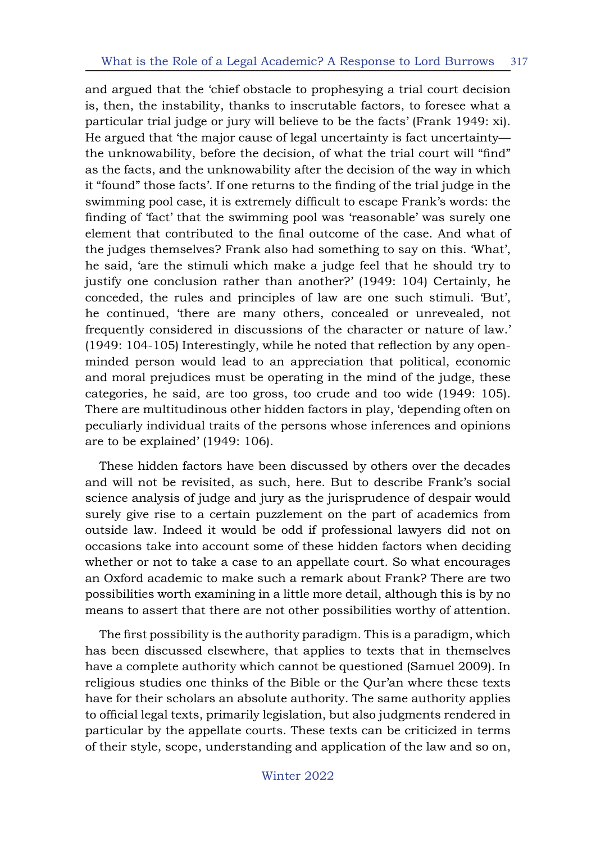and argued that the 'chief obstacle to prophesying a trial court decision is, then, the instability, thanks to inscrutable factors, to foresee what a particular trial judge or jury will believe to be the facts' (Frank 1949: xi). He argued that 'the major cause of legal uncertainty is fact uncertainty the unknowability, before the decision, of what the trial court will "find" as the facts, and the unknowability after the decision of the way in which it "found" those facts'. If one returns to the finding of the trial judge in the swimming pool case, it is extremely difficult to escape Frank's words: the finding of 'fact' that the swimming pool was 'reasonable' was surely one element that contributed to the final outcome of the case. And what of the judges themselves? Frank also had something to say on this. 'What', he said, 'are the stimuli which make a judge feel that he should try to justify one conclusion rather than another?' (1949: 104) Certainly, he conceded, the rules and principles of law are one such stimuli. 'But', he continued, 'there are many others, concealed or unrevealed, not frequently considered in discussions of the character or nature of law.' (1949: 104-105) Interestingly, while he noted that reflection by any openminded person would lead to an appreciation that political, economic and moral prejudices must be operating in the mind of the judge, these categories, he said, are too gross, too crude and too wide (1949: 105). There are multitudinous other hidden factors in play, 'depending often on peculiarly individual traits of the persons whose inferences and opinions are to be explained' (1949: 106).

These hidden factors have been discussed by others over the decades and will not be revisited, as such, here. But to describe Frank's social science analysis of judge and jury as the jurisprudence of despair would surely give rise to a certain puzzlement on the part of academics from outside law. Indeed it would be odd if professional lawyers did not on occasions take into account some of these hidden factors when deciding whether or not to take a case to an appellate court. So what encourages an Oxford academic to make such a remark about Frank? There are two possibilities worth examining in a little more detail, although this is by no means to assert that there are not other possibilities worthy of attention.

The first possibility is the authority paradigm. This is a paradigm, which has been discussed elsewhere, that applies to texts that in themselves have a complete authority which cannot be questioned (Samuel 2009). In religious studies one thinks of the Bible or the Qur'an where these texts have for their scholars an absolute authority. The same authority applies to official legal texts, primarily legislation, but also judgments rendered in particular by the appellate courts. These texts can be criticized in terms of their style, scope, understanding and application of the law and so on,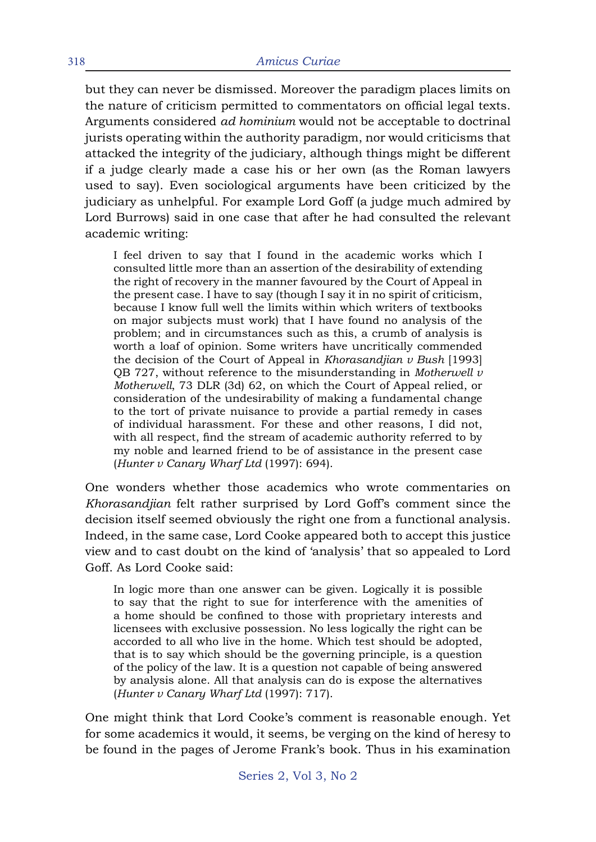but they can never be dismissed. Moreover the paradigm places limits on the nature of criticism permitted to commentators on official legal texts. Arguments considered *ad hominium* would not be acceptable to doctrinal jurists operating within the authority paradigm, nor would criticisms that attacked the integrity of the judiciary, although things might be different if a judge clearly made a case his or her own (as the Roman lawyers used to say). Even sociological arguments have been criticized by the judiciary as unhelpful. For example Lord Goff (a judge much admired by Lord Burrows) said in one case that after he had consulted the relevant academic writing:

I feel driven to say that I found in the academic works which I consulted little more than an assertion of the desirability of extending the right of recovery in the manner favoured by the Court of Appeal in the present case. I have to say (though I say it in no spirit of criticism, because I know full well the limits within which writers of textbooks on major subjects must work) that I have found no analysis of the problem; and in circumstances such as this, a crumb of analysis is worth a loaf of opinion. Some writers have uncritically commended the decision of the Court of Appeal in *Khorasandjian v Bush* [1993] QB 727, without reference to the misunderstanding in *Motherwell v Motherwell*, 73 DLR (3d) 62, on which the Court of Appeal relied, or consideration of the undesirability of making a fundamental change to the tort of private nuisance to provide a partial remedy in cases of individual harassment. For these and other reasons, I did not, with all respect, find the stream of academic authority referred to by my noble and learned friend to be of assistance in the present case (*Hunter v Canary Wharf Ltd* (1997): 694).

One wonders whether those academics who wrote commentaries on *Khorasandjian* felt rather surprised by Lord Goff's comment since the decision itself seemed obviously the right one from a functional analysis. Indeed, in the same case, Lord Cooke appeared both to accept this justice view and to cast doubt on the kind of 'analysis' that so appealed to Lord Goff. As Lord Cooke said:

In logic more than one answer can be given. Logically it is possible to say that the right to sue for interference with the amenities of a home should be confined to those with proprietary interests and licensees with exclusive possession. No less logically the right can be accorded to all who live in the home. Which test should be adopted, that is to say which should be the governing principle, is a question of the policy of the law. It is a question not capable of being answered by analysis alone. All that analysis can do is expose the alternatives (*Hunter v Canary Wharf Ltd* (1997): 717).

One might think that Lord Cooke's comment is reasonable enough. Yet for some academics it would, it seems, be verging on the kind of heresy to be found in the pages of Jerome Frank's book. Thus in his examination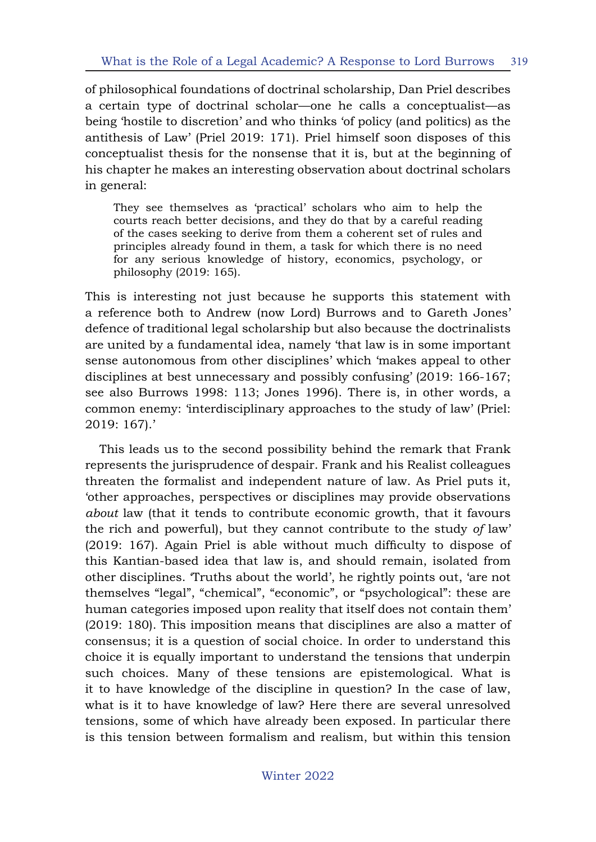of philosophical foundations of doctrinal scholarship, Dan Priel describes a certain type of doctrinal scholar—one he calls a conceptualist—as being 'hostile to discretion' and who thinks 'of policy (and politics) as the antithesis of Law' (Priel 2019: 171). Priel himself soon disposes of this conceptualist thesis for the nonsense that it is, but at the beginning of his chapter he makes an interesting observation about doctrinal scholars in general:

They see themselves as 'practical' scholars who aim to help the courts reach better decisions, and they do that by a careful reading of the cases seeking to derive from them a coherent set of rules and principles already found in them, a task for which there is no need for any serious knowledge of history, economics, psychology, or philosophy (2019: 165).

This is interesting not just because he supports this statement with a reference both to Andrew (now Lord) Burrows and to Gareth Jones' defence of traditional legal scholarship but also because the doctrinalists are united by a fundamental idea, namely 'that law is in some important sense autonomous from other disciplines' which 'makes appeal to other disciplines at best unnecessary and possibly confusing' (2019: 166-167; see also Burrows 1998: 113; Jones 1996). There is, in other words, a common enemy: 'interdisciplinary approaches to the study of law' (Priel: 2019: 167).'

This leads us to the second possibility behind the remark that Frank represents the jurisprudence of despair. Frank and his Realist colleagues threaten the formalist and independent nature of law. As Priel puts it, 'other approaches, perspectives or disciplines may provide observations *about* law (that it tends to contribute economic growth, that it favours the rich and powerful), but they cannot contribute to the study *of* law' (2019: 167). Again Priel is able without much difficulty to dispose of this Kantian-based idea that law is, and should remain, isolated from other disciplines. 'Truths about the world', he rightly points out, 'are not themselves "legal", "chemical", "economic", or "psychological": these are human categories imposed upon reality that itself does not contain them' (2019: 180). This imposition means that disciplines are also a matter of consensus; it is a question of social choice. In order to understand this choice it is equally important to understand the tensions that underpin such choices. Many of these tensions are epistemological. What is it to have knowledge of the discipline in question? In the case of law, what is it to have knowledge of law? Here there are several unresolved tensions, some of which have already been exposed. In particular there is this tension between formalism and realism, but within this tension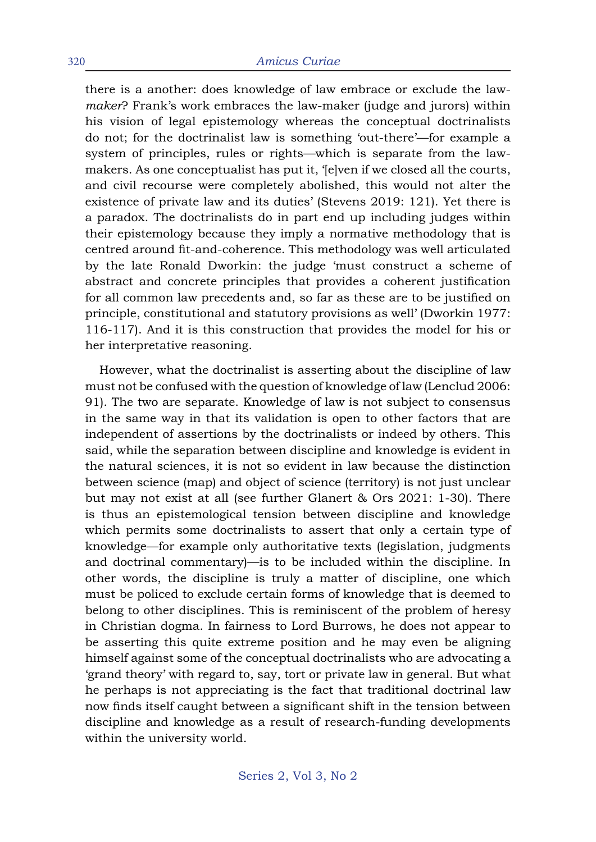#### 320 *Amicus Curiae*

there is a another: does knowledge of law embrace or exclude the law*maker*? Frank's work embraces the law-maker (judge and jurors) within his vision of legal epistemology whereas the conceptual doctrinalists do not; for the doctrinalist law is something 'out-there'—for example a system of principles, rules or rights—which is separate from the lawmakers. As one conceptualist has put it, '[e]ven if we closed all the courts, and civil recourse were completely abolished, this would not alter the existence of private law and its duties' (Stevens 2019: 121). Yet there is a paradox. The doctrinalists do in part end up including judges within their epistemology because they imply a normative methodology that is centred around fit-and-coherence. This methodology was well articulated by the late Ronald Dworkin: the judge 'must construct a scheme of abstract and concrete principles that provides a coherent justification for all common law precedents and, so far as these are to be justified on principle, constitutional and statutory provisions as well' (Dworkin 1977: 116-117). And it is this construction that provides the model for his or her interpretative reasoning.

However, what the doctrinalist is asserting about the discipline of law must not be confused with the question of knowledge of law (Lenclud 2006: 91). The two are separate. Knowledge of law is not subject to consensus in the same way in that its validation is open to other factors that are independent of assertions by the doctrinalists or indeed by others. This said, while the separation between discipline and knowledge is evident in the natural sciences, it is not so evident in law because the distinction between science (map) and object of science (territory) is not just unclear but may not exist at all (see further Glanert & Ors 2021: 1-30). There is thus an epistemological tension between discipline and knowledge which permits some doctrinalists to assert that only a certain type of knowledge—for example only authoritative texts (legislation, judgments and doctrinal commentary)—is to be included within the discipline. In other words, the discipline is truly a matter of discipline, one which must be policed to exclude certain forms of knowledge that is deemed to belong to other disciplines. This is reminiscent of the problem of heresy in Christian dogma. In fairness to Lord Burrows, he does not appear to be asserting this quite extreme position and he may even be aligning himself against some of the conceptual doctrinalists who are advocating a 'grand theory' with regard to, say, tort or private law in general. But what he perhaps is not appreciating is the fact that traditional doctrinal law now finds itself caught between a significant shift in the tension between discipline and knowledge as a result of research-funding developments within the university world.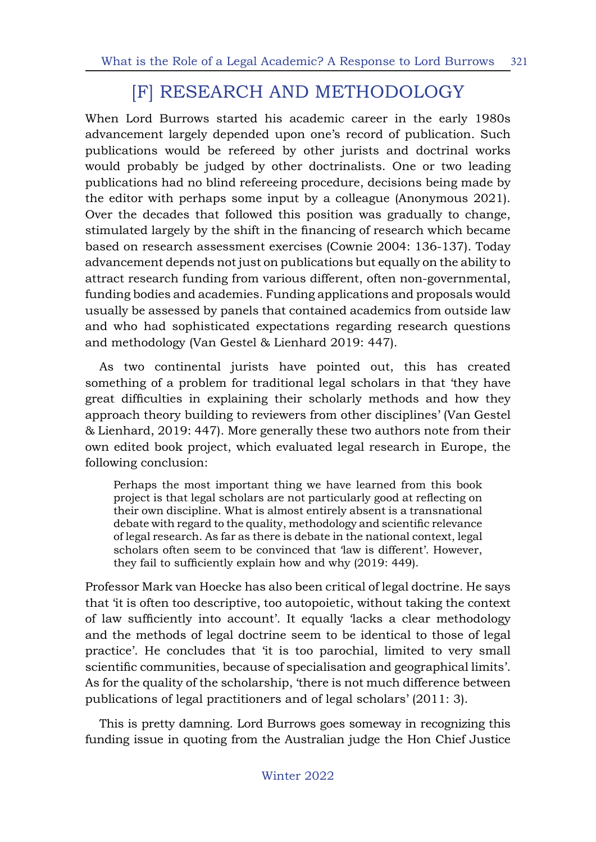# [F] RESEARCH AND METHODOLOGY

When Lord Burrows started his academic career in the early 1980s advancement largely depended upon one's record of publication. Such publications would be refereed by other jurists and doctrinal works would probably be judged by other doctrinalists. One or two leading publications had no blind refereeing procedure, decisions being made by the editor with perhaps some input by a colleague (Anonymous 2021). Over the decades that followed this position was gradually to change, stimulated largely by the shift in the financing of research which became based on research assessment exercises (Cownie 2004: 136-137). Today advancement depends not just on publications but equally on the ability to attract research funding from various different, often non-governmental, funding bodies and academies. Funding applications and proposals would usually be assessed by panels that contained academics from outside law and who had sophisticated expectations regarding research questions and methodology (Van Gestel & Lienhard 2019: 447).

As two continental jurists have pointed out, this has created something of a problem for traditional legal scholars in that 'they have great difficulties in explaining their scholarly methods and how they approach theory building to reviewers from other disciplines' (Van Gestel & Lienhard, 2019: 447). More generally these two authors note from their own edited book project, which evaluated legal research in Europe, the following conclusion:

Perhaps the most important thing we have learned from this book project is that legal scholars are not particularly good at reflecting on their own discipline. What is almost entirely absent is a transnational debate with regard to the quality, methodology and scientific relevance of legal research. As far as there is debate in the national context, legal scholars often seem to be convinced that 'law is different'. However, they fail to sufficiently explain how and why (2019: 449).

Professor Mark van Hoecke has also been critical of legal doctrine. He says that 'it is often too descriptive, too autopoietic, without taking the context of law sufficiently into account'. It equally 'lacks a clear methodology and the methods of legal doctrine seem to be identical to those of legal practice'. He concludes that 'it is too parochial, limited to very small scientific communities, because of specialisation and geographical limits'. As for the quality of the scholarship, 'there is not much difference between publications of legal practitioners and of legal scholars' (2011: 3).

This is pretty damning. Lord Burrows goes someway in recognizing this funding issue in quoting from the Australian judge the Hon Chief Justice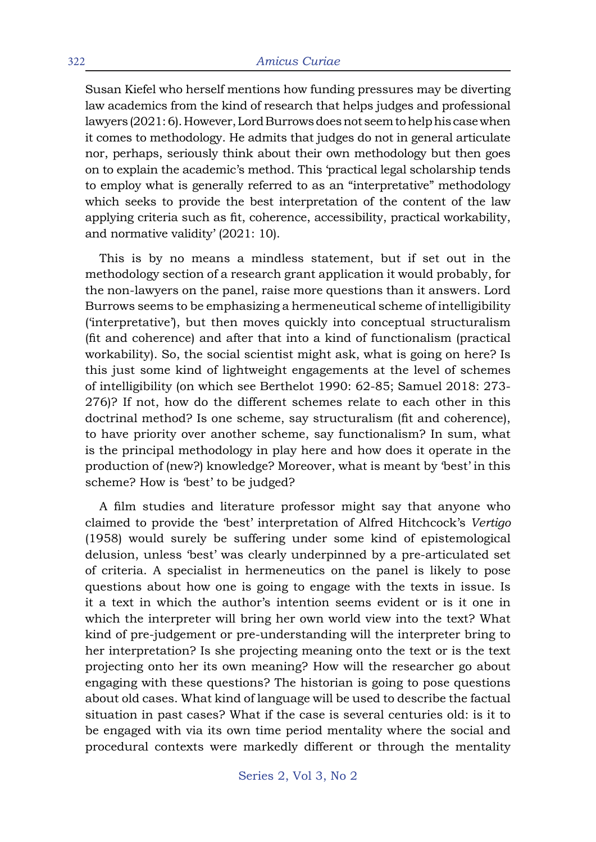Susan Kiefel who herself mentions how funding pressures may be diverting law academics from the kind of research that helps judges and professional lawyers (2021: 6). However, Lord Burrows does not seem to help his case when it comes to methodology. He admits that judges do not in general articulate nor, perhaps, seriously think about their own methodology but then goes on to explain the academic's method. This 'practical legal scholarship tends to employ what is generally referred to as an "interpretative" methodology which seeks to provide the best interpretation of the content of the law applying criteria such as fit, coherence, accessibility, practical workability, and normative validity' (2021: 10).

This is by no means a mindless statement, but if set out in the methodology section of a research grant application it would probably, for the non-lawyers on the panel, raise more questions than it answers. Lord Burrows seems to be emphasizing a hermeneutical scheme of intelligibility ('interpretative'), but then moves quickly into conceptual structuralism (fit and coherence) and after that into a kind of functionalism (practical workability). So, the social scientist might ask, what is going on here? Is this just some kind of lightweight engagements at the level of schemes of intelligibility (on which see Berthelot 1990: 62-85; Samuel 2018: 273- 276)? If not, how do the different schemes relate to each other in this doctrinal method? Is one scheme, say structuralism (fit and coherence), to have priority over another scheme, say functionalism? In sum, what is the principal methodology in play here and how does it operate in the production of (new?) knowledge? Moreover, what is meant by 'best' in this scheme? How is 'best' to be judged?

A film studies and literature professor might say that anyone who claimed to provide the 'best' interpretation of Alfred Hitchcock's *Vertigo* (1958) would surely be suffering under some kind of epistemological delusion, unless 'best' was clearly underpinned by a pre-articulated set of criteria. A specialist in hermeneutics on the panel is likely to pose questions about how one is going to engage with the texts in issue. Is it a text in which the author's intention seems evident or is it one in which the interpreter will bring her own world view into the text? What kind of pre-judgement or pre-understanding will the interpreter bring to her interpretation? Is she projecting meaning onto the text or is the text projecting onto her its own meaning? How will the researcher go about engaging with these questions? The historian is going to pose questions about old cases. What kind of language will be used to describe the factual situation in past cases? What if the case is several centuries old: is it to be engaged with via its own time period mentality where the social and procedural contexts were markedly different or through the mentality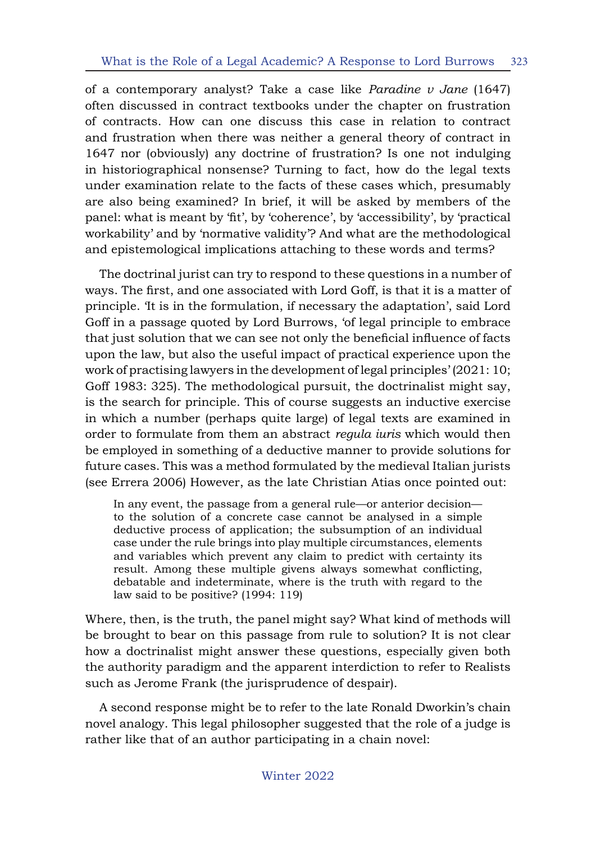of a contemporary analyst? Take a case like *Paradine v Jane* (1647) often discussed in contract textbooks under the chapter on frustration of contracts. How can one discuss this case in relation to contract and frustration when there was neither a general theory of contract in 1647 nor (obviously) any doctrine of frustration? Is one not indulging in historiographical nonsense? Turning to fact, how do the legal texts under examination relate to the facts of these cases which, presumably are also being examined? In brief, it will be asked by members of the panel: what is meant by 'fit', by 'coherence', by 'accessibility', by 'practical workability' and by 'normative validity'? And what are the methodological and epistemological implications attaching to these words and terms?

The doctrinal jurist can try to respond to these questions in a number of ways. The first, and one associated with Lord Goff, is that it is a matter of principle. 'It is in the formulation, if necessary the adaptation', said Lord Goff in a passage quoted by Lord Burrows, 'of legal principle to embrace that just solution that we can see not only the beneficial influence of facts upon the law, but also the useful impact of practical experience upon the work of practising lawyers in the development of legal principles' (2021: 10; Goff 1983: 325). The methodological pursuit, the doctrinalist might say, is the search for principle. This of course suggests an inductive exercise in which a number (perhaps quite large) of legal texts are examined in order to formulate from them an abstract *regula iuris* which would then be employed in something of a deductive manner to provide solutions for future cases. This was a method formulated by the medieval Italian jurists (see Errera 2006) However, as the late Christian Atias once pointed out:

In any event, the passage from a general rule—or anterior decision to the solution of a concrete case cannot be analysed in a simple deductive process of application; the subsumption of an individual case under the rule brings into play multiple circumstances, elements and variables which prevent any claim to predict with certainty its result. Among these multiple givens always somewhat conflicting, debatable and indeterminate, where is the truth with regard to the law said to be positive? (1994: 119)

Where, then, is the truth, the panel might say? What kind of methods will be brought to bear on this passage from rule to solution? It is not clear how a doctrinalist might answer these questions, especially given both the authority paradigm and the apparent interdiction to refer to Realists such as Jerome Frank (the jurisprudence of despair).

A second response might be to refer to the late Ronald Dworkin's chain novel analogy. This legal philosopher suggested that the role of a judge is rather like that of an author participating in a chain novel: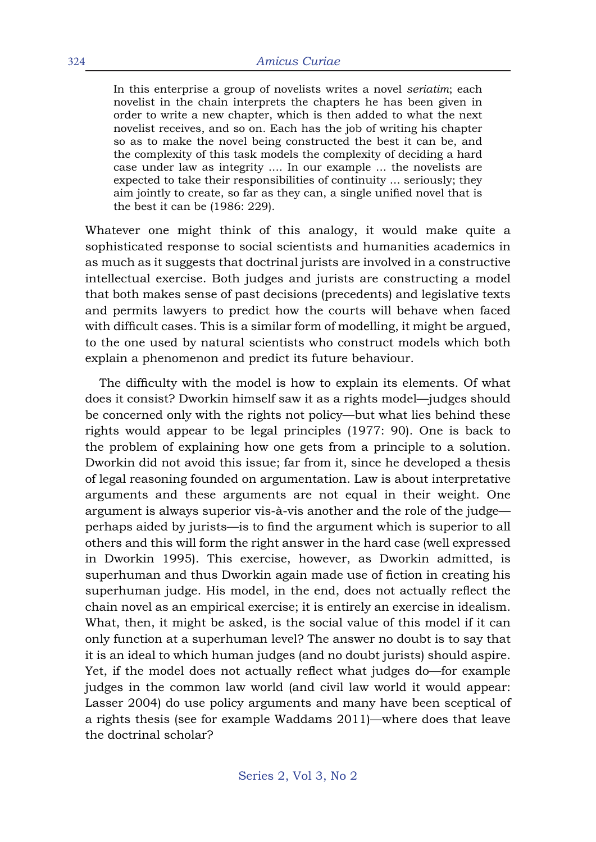In this enterprise a group of novelists writes a novel *seriatim*; each novelist in the chain interprets the chapters he has been given in order to write a new chapter, which is then added to what the next novelist receives, and so on. Each has the job of writing his chapter so as to make the novel being constructed the best it can be, and the complexity of this task models the complexity of deciding a hard case under law as integrity .... In our example ... the novelists are expected to take their responsibilities of continuity ... seriously; they aim jointly to create, so far as they can, a single unified novel that is the best it can be (1986: 229).

Whatever one might think of this analogy, it would make quite a sophisticated response to social scientists and humanities academics in as much as it suggests that doctrinal jurists are involved in a constructive intellectual exercise. Both judges and jurists are constructing a model that both makes sense of past decisions (precedents) and legislative texts and permits lawyers to predict how the courts will behave when faced with difficult cases. This is a similar form of modelling, it might be argued, to the one used by natural scientists who construct models which both explain a phenomenon and predict its future behaviour.

The difficulty with the model is how to explain its elements. Of what does it consist? Dworkin himself saw it as a rights model—judges should be concerned only with the rights not policy—but what lies behind these rights would appear to be legal principles (1977: 90). One is back to the problem of explaining how one gets from a principle to a solution. Dworkin did not avoid this issue; far from it, since he developed a thesis of legal reasoning founded on argumentation. Law is about interpretative arguments and these arguments are not equal in their weight. One argument is always superior vis-à-vis another and the role of the judge perhaps aided by jurists—is to find the argument which is superior to all others and this will form the right answer in the hard case (well expressed in Dworkin 1995). This exercise, however, as Dworkin admitted, is superhuman and thus Dworkin again made use of fiction in creating his superhuman judge. His model, in the end, does not actually reflect the chain novel as an empirical exercise; it is entirely an exercise in idealism. What, then, it might be asked, is the social value of this model if it can only function at a superhuman level? The answer no doubt is to say that it is an ideal to which human judges (and no doubt jurists) should aspire. Yet, if the model does not actually reflect what judges do—for example judges in the common law world (and civil law world it would appear: Lasser 2004) do use policy arguments and many have been sceptical of a rights thesis (see for example Waddams 2011)—where does that leave the doctrinal scholar?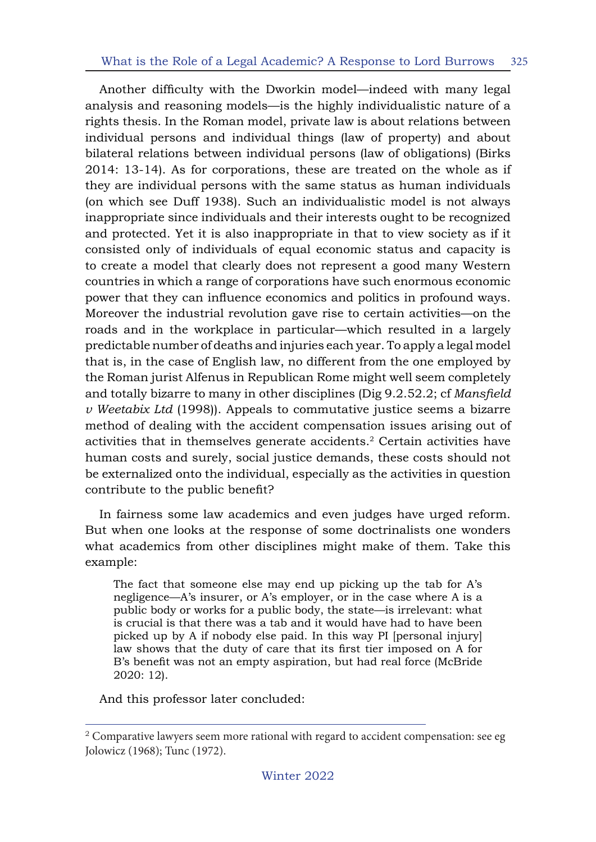Another difficulty with the Dworkin model—indeed with many legal analysis and reasoning models—is the highly individualistic nature of a rights thesis. In the Roman model, private law is about relations between individual persons and individual things (law of property) and about bilateral relations between individual persons (law of obligations) (Birks 2014: 13-14). As for corporations, these are treated on the whole as if they are individual persons with the same status as human individuals (on which see Duff 1938). Such an individualistic model is not always inappropriate since individuals and their interests ought to be recognized and protected. Yet it is also inappropriate in that to view society as if it consisted only of individuals of equal economic status and capacity is to create a model that clearly does not represent a good many Western countries in which a range of corporations have such enormous economic power that they can influence economics and politics in profound ways. Moreover the industrial revolution gave rise to certain activities—on the roads and in the workplace in particular—which resulted in a largely predictable number of deaths and injuries each year. To apply a legal model that is, in the case of English law, no different from the one employed by the Roman jurist Alfenus in Republican Rome might well seem completely and totally bizarre to many in other disciplines (Dig 9.2.52.2; cf *Mansfield v Weetabix Ltd* (1998)). Appeals to commutative justice seems a bizarre method of dealing with the accident compensation issues arising out of activities that in themselves generate accidents.2 Certain activities have human costs and surely, social justice demands, these costs should not be externalized onto the individual, especially as the activities in question contribute to the public benefit?

In fairness some law academics and even judges have urged reform. But when one looks at the response of some doctrinalists one wonders what academics from other disciplines might make of them. Take this example:

The fact that someone else may end up picking up the tab for A's negligence—A's insurer, or A's employer, or in the case where A is a public body or works for a public body, the state—is irrelevant: what is crucial is that there was a tab and it would have had to have been picked up by A if nobody else paid. In this way PI [personal injury] law shows that the duty of care that its first tier imposed on A for B's benefit was not an empty aspiration, but had real force (McBride 2020: 12).

And this professor later concluded:

<sup>&</sup>lt;sup>2</sup> Comparative lawyers seem more rational with regard to accident compensation: see eg Jolowicz (1968); Tunc (1972).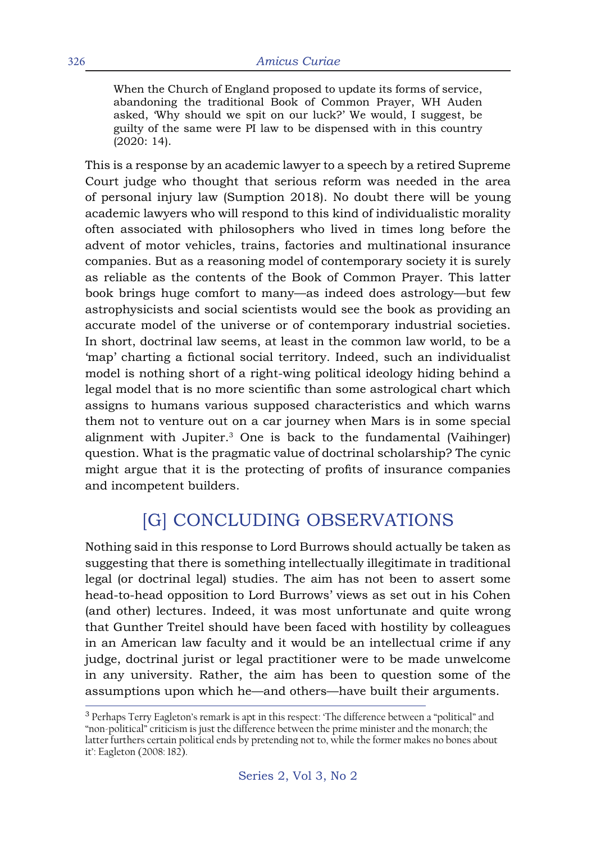When the Church of England proposed to update its forms of service, abandoning the traditional Book of Common Prayer, WH Auden asked, 'Why should we spit on our luck?' We would, I suggest, be guilty of the same were PI law to be dispensed with in this country (2020: 14).

This is a response by an academic lawyer to a speech by a retired Supreme Court judge who thought that serious reform was needed in the area of personal injury law (Sumption 2018). No doubt there will be young academic lawyers who will respond to this kind of individualistic morality often associated with philosophers who lived in times long before the advent of motor vehicles, trains, factories and multinational insurance companies. But as a reasoning model of contemporary society it is surely as reliable as the contents of the Book of Common Prayer. This latter book brings huge comfort to many—as indeed does astrology—but few astrophysicists and social scientists would see the book as providing an accurate model of the universe or of contemporary industrial societies. In short, doctrinal law seems, at least in the common law world, to be a 'map' charting a fictional social territory. Indeed, such an individualist model is nothing short of a right-wing political ideology hiding behind a legal model that is no more scientific than some astrological chart which assigns to humans various supposed characteristics and which warns them not to venture out on a car journey when Mars is in some special alignment with Jupiter.3 One is back to the fundamental (Vaihinger) question. What is the pragmatic value of doctrinal scholarship? The cynic might argue that it is the protecting of profits of insurance companies and incompetent builders.

## [G] CONCLUDING OBSERVATIONS

Nothing said in this response to Lord Burrows should actually be taken as suggesting that there is something intellectually illegitimate in traditional legal (or doctrinal legal) studies. The aim has not been to assert some head-to-head opposition to Lord Burrows' views as set out in his Cohen (and other) lectures. Indeed, it was most unfortunate and quite wrong that Gunther Treitel should have been faced with hostility by colleagues in an American law faculty and it would be an intellectual crime if any judge, doctrinal jurist or legal practitioner were to be made unwelcome in any university. Rather, the aim has been to question some of the assumptions upon which he—and others—have built their arguments.

<sup>&</sup>lt;sup>3</sup> Perhaps Terry Eagleton's remark is apt in this respect: 'The difference between a "political" and "non-political" criticism is just the difference between the prime minister and the monarch; the latter furthers certain political ends by pretending not to, while the former makes no bones about it': Eagleton (2008: 182).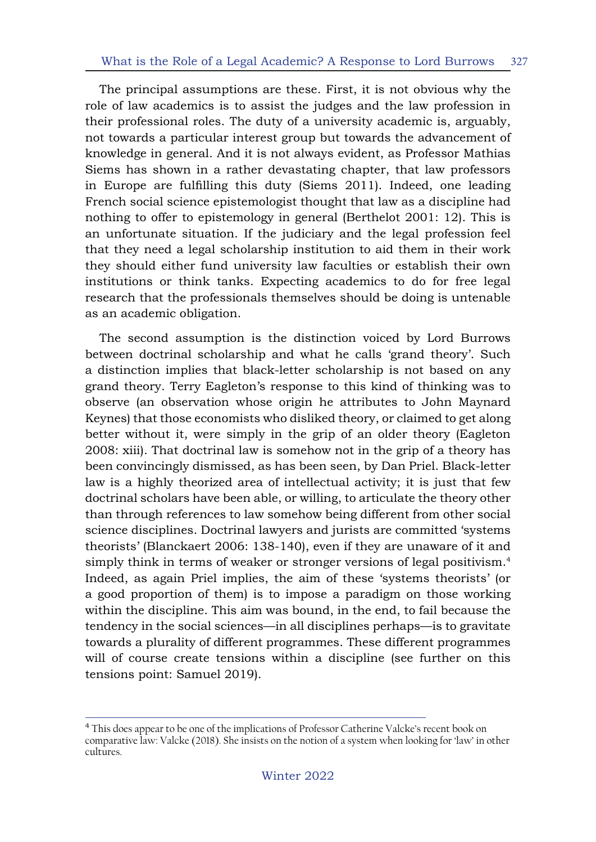The principal assumptions are these. First, it is not obvious why the role of law academics is to assist the judges and the law profession in their professional roles. The duty of a university academic is, arguably, not towards a particular interest group but towards the advancement of knowledge in general. And it is not always evident, as Professor Mathias Siems has shown in a rather devastating chapter, that law professors in Europe are fulfilling this duty (Siems 2011). Indeed, one leading French social science epistemologist thought that law as a discipline had nothing to offer to epistemology in general (Berthelot 2001: 12). This is an unfortunate situation. If the judiciary and the legal profession feel that they need a legal scholarship institution to aid them in their work they should either fund university law faculties or establish their own institutions or think tanks. Expecting academics to do for free legal research that the professionals themselves should be doing is untenable as an academic obligation.

The second assumption is the distinction voiced by Lord Burrows between doctrinal scholarship and what he calls 'grand theory'. Such a distinction implies that black-letter scholarship is not based on any grand theory. Terry Eagleton's response to this kind of thinking was to observe (an observation whose origin he attributes to John Maynard Keynes) that those economists who disliked theory, or claimed to get along better without it, were simply in the grip of an older theory (Eagleton 2008: xiii). That doctrinal law is somehow not in the grip of a theory has been convincingly dismissed, as has been seen, by Dan Priel. Black-letter law is a highly theorized area of intellectual activity; it is just that few doctrinal scholars have been able, or willing, to articulate the theory other than through references to law somehow being different from other social science disciplines. Doctrinal lawyers and jurists are committed 'systems theorists' (Blanckaert 2006: 138-140), even if they are unaware of it and simply think in terms of weaker or stronger versions of legal positivism.<sup>4</sup> Indeed, as again Priel implies, the aim of these 'systems theorists' (or a good proportion of them) is to impose a paradigm on those working within the discipline. This aim was bound, in the end, to fail because the tendency in the social sciences—in all disciplines perhaps—is to gravitate towards a plurality of different programmes. These different programmes will of course create tensions within a discipline (see further on this tensions point: Samuel 2019).

<sup>&</sup>lt;sup>4</sup> This does appear to be one of the implications of Professor Catherine Valcke's recent book on comparative law: Valcke (2018). She insists on the notion of a system when looking for 'law' in other cultures.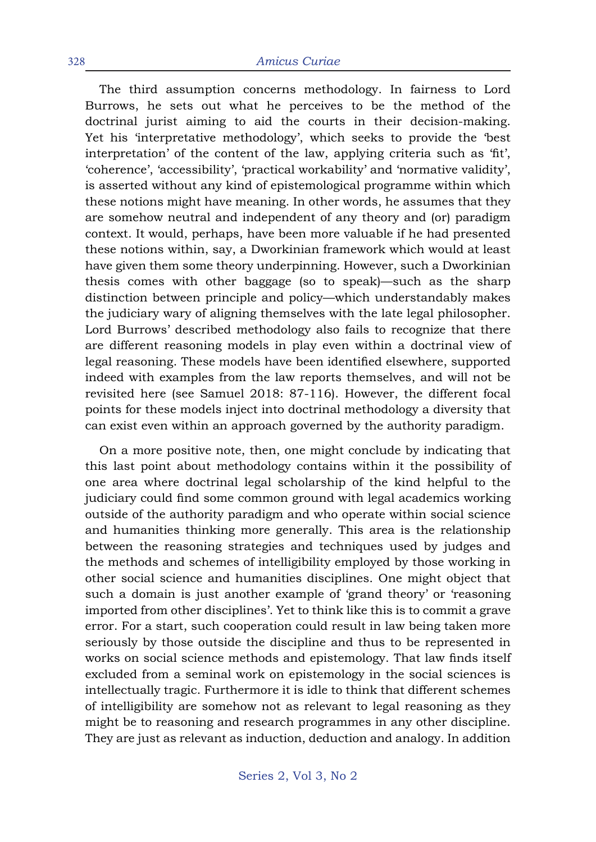The third assumption concerns methodology. In fairness to Lord Burrows, he sets out what he perceives to be the method of the doctrinal jurist aiming to aid the courts in their decision-making. Yet his 'interpretative methodology', which seeks to provide the 'best interpretation' of the content of the law, applying criteria such as 'fit', 'coherence', 'accessibility', 'practical workability' and 'normative validity', is asserted without any kind of epistemological programme within which these notions might have meaning. In other words, he assumes that they are somehow neutral and independent of any theory and (or) paradigm context. It would, perhaps, have been more valuable if he had presented these notions within, say, a Dworkinian framework which would at least have given them some theory underpinning. However, such a Dworkinian thesis comes with other baggage (so to speak)—such as the sharp distinction between principle and policy—which understandably makes the judiciary wary of aligning themselves with the late legal philosopher. Lord Burrows' described methodology also fails to recognize that there are different reasoning models in play even within a doctrinal view of legal reasoning. These models have been identified elsewhere, supported indeed with examples from the law reports themselves, and will not be revisited here (see Samuel 2018: 87-116). However, the different focal points for these models inject into doctrinal methodology a diversity that can exist even within an approach governed by the authority paradigm.

On a more positive note, then, one might conclude by indicating that this last point about methodology contains within it the possibility of one area where doctrinal legal scholarship of the kind helpful to the judiciary could find some common ground with legal academics working outside of the authority paradigm and who operate within social science and humanities thinking more generally. This area is the relationship between the reasoning strategies and techniques used by judges and the methods and schemes of intelligibility employed by those working in other social science and humanities disciplines. One might object that such a domain is just another example of 'grand theory' or 'reasoning imported from other disciplines'. Yet to think like this is to commit a grave error. For a start, such cooperation could result in law being taken more seriously by those outside the discipline and thus to be represented in works on social science methods and epistemology. That law finds itself excluded from a seminal work on epistemology in the social sciences is intellectually tragic. Furthermore it is idle to think that different schemes of intelligibility are somehow not as relevant to legal reasoning as they might be to reasoning and research programmes in any other discipline. They are just as relevant as induction, deduction and analogy. In addition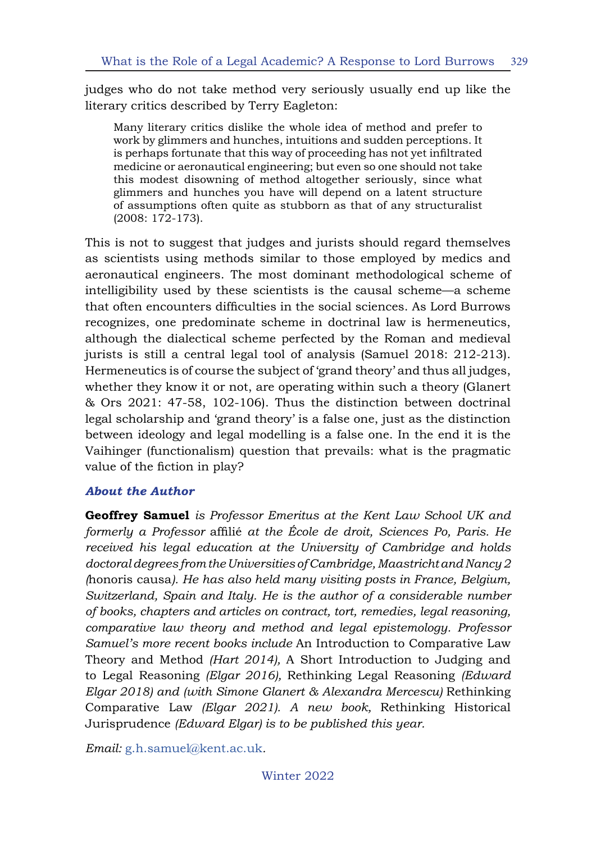judges who do not take method very seriously usually end up like the literary critics described by Terry Eagleton:

Many literary critics dislike the whole idea of method and prefer to work by glimmers and hunches, intuitions and sudden perceptions. It is perhaps fortunate that this way of proceeding has not yet infiltrated medicine or aeronautical engineering; but even so one should not take this modest disowning of method altogether seriously, since what glimmers and hunches you have will depend on a latent structure of assumptions often quite as stubborn as that of any structuralist (2008: 172-173).

This is not to suggest that judges and jurists should regard themselves as scientists using methods similar to those employed by medics and aeronautical engineers. The most dominant methodological scheme of intelligibility used by these scientists is the causal scheme—a scheme that often encounters difficulties in the social sciences. As Lord Burrows recognizes, one predominate scheme in doctrinal law is hermeneutics, although the dialectical scheme perfected by the Roman and medieval jurists is still a central legal tool of analysis (Samuel 2018: 212-213). Hermeneutics is of course the subject of 'grand theory' and thus all judges, whether they know it or not, are operating within such a theory (Glanert & Ors 2021: 47-58, 102-106). Thus the distinction between doctrinal legal scholarship and 'grand theory' is a false one, just as the distinction between ideology and legal modelling is a false one. In the end it is the Vaihinger (functionalism) question that prevails: what is the pragmatic value of the fiction in play?

#### *About the Author*

**Geoffrey Samuel** *is Professor Emeritus at the Kent Law School UK and formerly a Professor* affilié *at the École de droit, Sciences Po, Paris. He received his legal education at the University of Cambridge and holds doctoral degrees from the Universities of Cambridge, Maastricht and Nancy2 (*honoris causa*). He has also held many visiting posts in France, Belgium, Switzerland, Spain and Italy. He is the author of a considerable number of books, chapters and articles on contract, tort, remedies, legal reasoning, comparative law theory and method and legal epistemology. Professor Samuel's more recent books include* An Introduction to Comparative Law Theory and Method *(Hart 2014),* A Short Introduction to Judging and to Legal Reasoning *(Elgar 2016),* Rethinking Legal Reasoning *(Edward Elgar 2018) and (with Simone Glanert & Alexandra Mercescu)* Rethinking Comparative Law *(Elgar 2021). A new book,* Rethinking Historical Jurisprudence *(Edward Elgar) is to be published this year.*

*Email:* g.h.samuel@kent.ac.uk*.*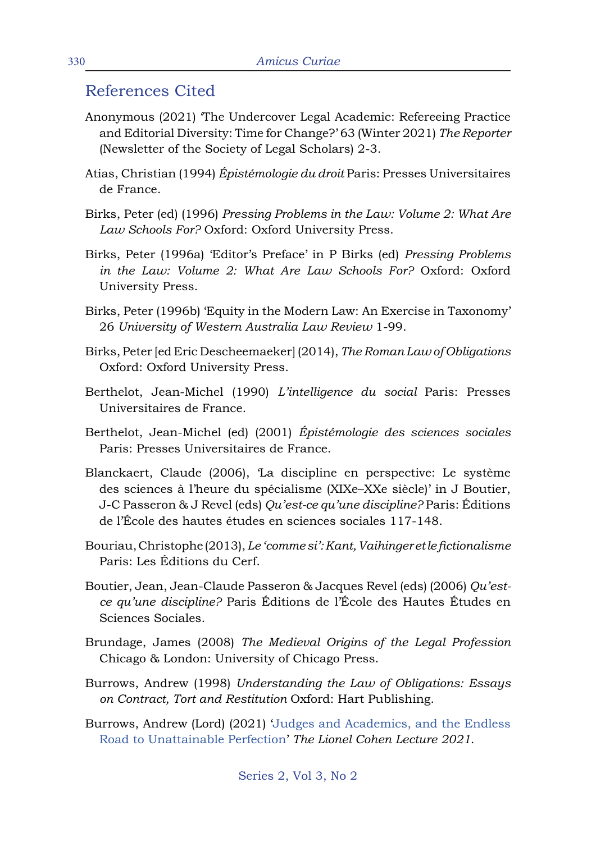### References Cited

- Anonymous (2021) 'The Undercover Legal Academic: Refereeing Practice and Editorial Diversity: Time for Change?' 63 (Winter 2021) *The Reporter*  (Newsletter of the Society of Legal Scholars) 2-3.
- Atias, Christian (1994) *Épistémologie du droit* Paris: Presses Universitaires de France.
- Birks, Peter (ed) (1996) *Pressing Problems in the Law: Volume 2: What Are Law Schools For?* Oxford: Oxford University Press.
- Birks, Peter (1996a) 'Editor's Preface' in P Birks (ed) *Pressing Problems in the Law: Volume 2: What Are Law Schools For?* Oxford: Oxford University Press.
- Birks, Peter (1996b) 'Equity in the Modern Law: An Exercise in Taxonomy' 26 *University of Western Australia Law Review* 1-99.
- Birks, Peter [ed Eric Descheemaeker] (2014), *The Roman Law of Obligations* Oxford: Oxford University Press.
- Berthelot, Jean-Michel (1990) *L'intelligence du social* Paris: Presses Universitaires de France.
- Berthelot, Jean-Michel (ed) (2001) *Épistémologie des sciences sociales*  Paris: Presses Universitaires de France.
- Blanckaert, Claude (2006), 'La discipline en perspective: Le système des sciences à l'heure du spécialisme (XIXe–XXe siècle)' in J Boutier, J-C Passeron & J Revel (eds) *Qu'est-ce qu'une discipline?* Paris: Éditions de l'École des hautes études en sciences sociales 117-148.
- Bouriau, Christophe (2013), *Le 'comme si': Kant, Vaihinger et le fictionalisme* Paris: Les Éditions du Cerf.
- Boutier, Jean, Jean-Claude Passeron & Jacques Revel (eds) (2006) *Qu'estce qu'une discipline?* Paris Éditions de l'École des Hautes Études en Sciences Sociales.
- Brundage, James (2008) *The Medieval Origins of the Legal Profession*  Chicago & London: University of Chicago Press.
- Burrows, Andrew (1998) *Understanding the Law of Obligations: Essays on Contract, Tort and Restitution* Oxford: Hart Publishing.
- Burrows, Andrew (Lord) (2021) 'Judges and Academics, and the Endless Road to Unattainable Perfection' *The Lionel Cohen Lecture 2021*.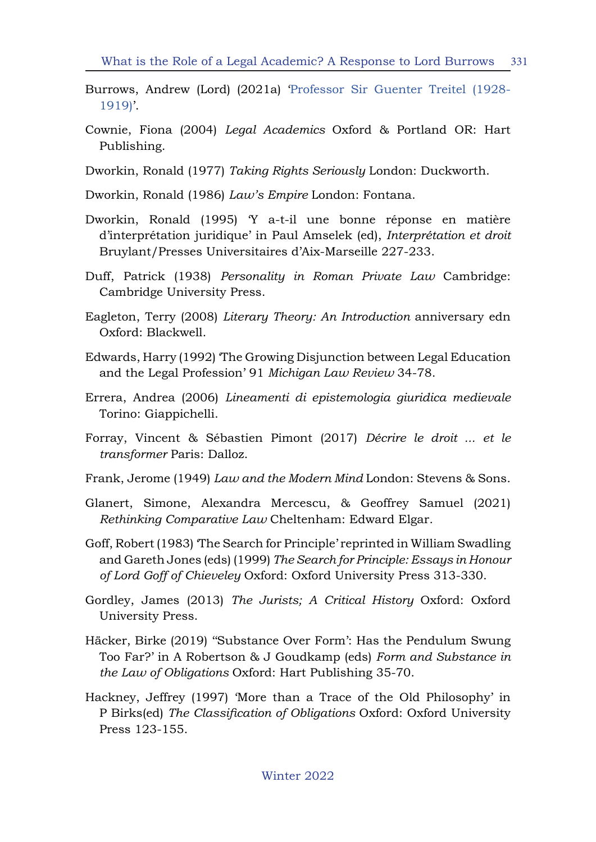- Burrows, Andrew (Lord) (2021a) 'Professor Sir Guenter Treitel (1928- 1919)'.
- Cownie, Fiona (2004) *Legal Academics* Oxford & Portland OR: Hart Publishing.
- Dworkin, Ronald (1977) *Taking Rights Seriously* London: Duckworth.
- Dworkin, Ronald (1986) *Law's Empire* London: Fontana.
- Dworkin, Ronald (1995) 'Y a-t-il une bonne réponse en matière d'interprétation juridique' in Paul Amselek (ed), *Interprétation et droit* Bruylant/Presses Universitaires d'Aix-Marseille 227-233.
- Duff, Patrick (1938) *Personality in Roman Private Law* Cambridge: Cambridge University Press.
- Eagleton, Terry (2008) *Literary Theory: An Introduction* anniversary edn Oxford: Blackwell.
- Edwards, Harry (1992) 'The Growing Disjunction between Legal Education and the Legal Profession' 91 *Michigan Law Review* 34-78.
- Errera, Andrea (2006) *Lineamenti di epistemologia giuridica medievale*  Torino: Giappichelli.
- Forray, Vincent & Sébastien Pimont (2017) *Décrire le droit ... et le transformer* Paris: Dalloz.
- Frank, Jerome (1949) *Law and the Modern Mind* London: Stevens & Sons.
- Glanert, Simone, Alexandra Mercescu, & Geoffrey Samuel (2021) *Rethinking Comparative Law* Cheltenham: Edward Elgar.
- Goff, Robert (1983) 'The Search for Principle' reprinted in William Swadling and Gareth Jones (eds) (1999) *The Search for Principle: Essays in Honour of Lord Goff of Chieveley* Oxford: Oxford University Press 313-330.
- Gordley, James (2013) *The Jurists; A Critical History* Oxford: Oxford University Press.
- Häcker, Birke (2019) ''Substance Over Form': Has the Pendulum Swung Too Far?' in A Robertson & J Goudkamp (eds) *Form and Substance in the Law of Obligations* Oxford: Hart Publishing 35-70.
- Hackney, Jeffrey (1997) 'More than a Trace of the Old Philosophy' in P Birks(ed) *The Classification of Obligations* Oxford: Oxford University Press 123-155.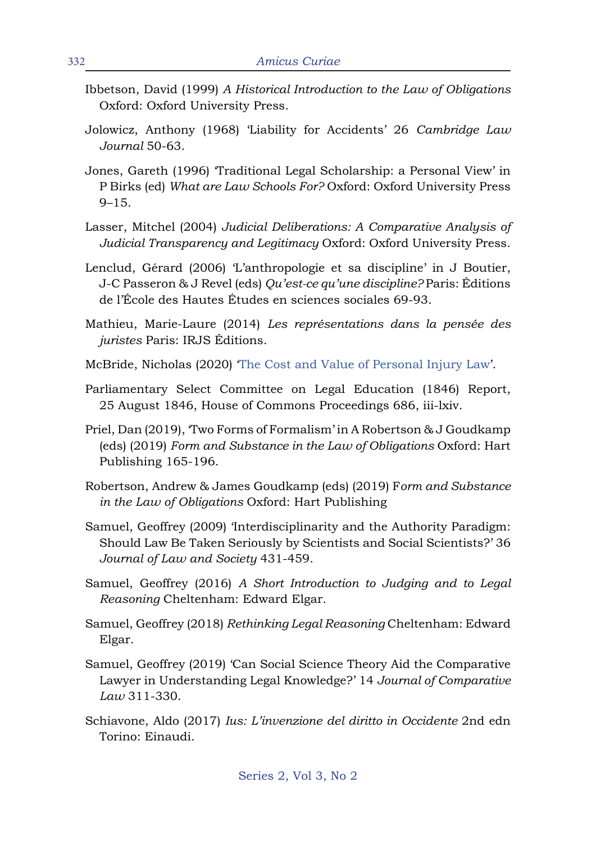- Ibbetson, David (1999) *A Historical Introduction to the Law of Obligations*  Oxford: Oxford University Press.
- Jolowicz, Anthony (1968) 'Liability for Accidents' 26 *Cambridge Law Journal* 50-63.
- Jones, Gareth (1996) 'Traditional Legal Scholarship: a Personal View' in P Birks (ed) *What are Law Schools For?* Oxford: Oxford University Press 9–15.
- Lasser, Mitchel (2004) *Judicial Deliberations: A Comparative Analysis of Judicial Transparency and Legitimacy* Oxford: Oxford University Press.
- Lenclud, Gérard (2006) 'L'anthropologie et sa discipline' in J Boutier, J-C Passeron & J Revel (eds) *Qu'est-ce qu'une discipline?* Paris: Éditions de l'École des Hautes Études en sciences sociales 69-93.
- Mathieu, Marie-Laure (2014) *Les représentations dans la pensée des juristes* Paris: IRJS Éditions.
- McBride, Nicholas (2020) 'The Cost and Value of Personal Injury Law'.
- Parliamentary Select Committee on Legal Education (1846) Report, 25 August 1846, House of Commons Proceedings 686, iii-lxiv.
- Priel, Dan (2019), 'Two Forms of Formalism' in A Robertson & J Goudkamp (eds) (2019) *Form and Substance in the Law of Obligations* Oxford: Hart Publishing 165-196.
- Robertson, Andrew & James Goudkamp (eds) (2019) F*orm and Substance in the Law of Obligations* Oxford: Hart Publishing
- Samuel, Geoffrey (2009) 'Interdisciplinarity and the Authority Paradigm: Should Law Be Taken Seriously by Scientists and Social Scientists?' 36 *Journal of Law and Society* 431-459.
- Samuel, Geoffrey (2016) *A Short Introduction to Judging and to Legal Reasoning* Cheltenham: Edward Elgar.
- Samuel, Geoffrey (2018) *Rethinking Legal Reasoning* Cheltenham: Edward Elgar.
- Samuel, Geoffrey (2019) 'Can Social Science Theory Aid the Comparative Lawyer in Understanding Legal Knowledge?' 14 *Journal of Comparative Law* 311-330.
- Schiavone, Aldo (2017) *Ius: L'invenzione del diritto in Occidente* 2nd edn Torino: Einaudi.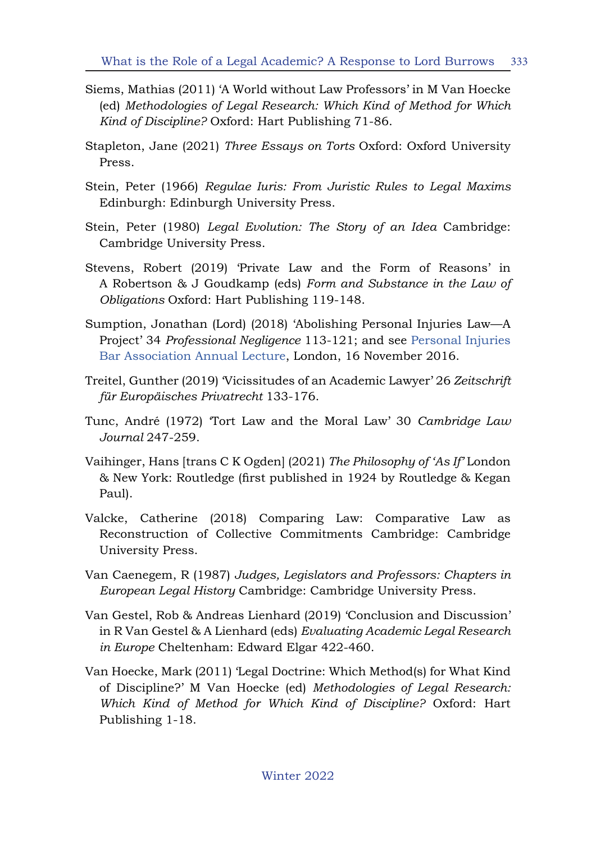- Siems, Mathias (2011) 'A World without Law Professors' in M Van Hoecke (ed) *Methodologies of Legal Research: Which Kind of Method for Which Kind of Discipline?* Oxford: Hart Publishing 71-86.
- Stapleton, Jane (2021) *Three Essays on Torts* Oxford: Oxford University Press.
- Stein, Peter (1966) *Regulae Iuris: From Juristic Rules to Legal Maxims*  Edinburgh: Edinburgh University Press.
- Stein, Peter (1980) *Legal Evolution: The Story of an Idea* Cambridge: Cambridge University Press.
- Stevens, Robert (2019) 'Private Law and the Form of Reasons' in A Robertson & J Goudkamp (eds) *Form and Substance in the Law of Obligations* Oxford: Hart Publishing 119-148.
- Sumption, Jonathan (Lord) (2018) 'Abolishing Personal Injuries Law—A Project' 34 *Professional Negligence* 113-121; and see Personal Injuries Bar Association Annual Lecture, London, 16 November 2016.
- Treitel, Gunther (2019) 'Vicissitudes of an Academic Lawyer' 26 *Zeitschrift für Europäisches Privatrecht* 133-176.
- Tunc, André (1972) 'Tort Law and the Moral Law' 30 *Cambridge Law Journal* 247-259.
- Vaihinger, Hans [trans C K Ogden] (2021) *The Philosophy of 'As If'* London & New York: Routledge (first published in 1924 by Routledge & Kegan Paul).
- Valcke, Catherine (2018) Comparing Law: Comparative Law as Reconstruction of Collective Commitments Cambridge: Cambridge University Press.
- Van Caenegem, R (1987) *Judges, Legislators and Professors: Chapters in European Legal History* Cambridge: Cambridge University Press.
- Van Gestel, Rob & Andreas Lienhard (2019) 'Conclusion and Discussion' in R Van Gestel & A Lienhard (eds) *Evaluating Academic Legal Research in Europe* Cheltenham: Edward Elgar 422-460.
- Van Hoecke, Mark (2011) 'Legal Doctrine: Which Method(s) for What Kind of Discipline?' M Van Hoecke (ed) *Methodologies of Legal Research: Which Kind of Method for Which Kind of Discipline?* Oxford: Hart Publishing 1-18.